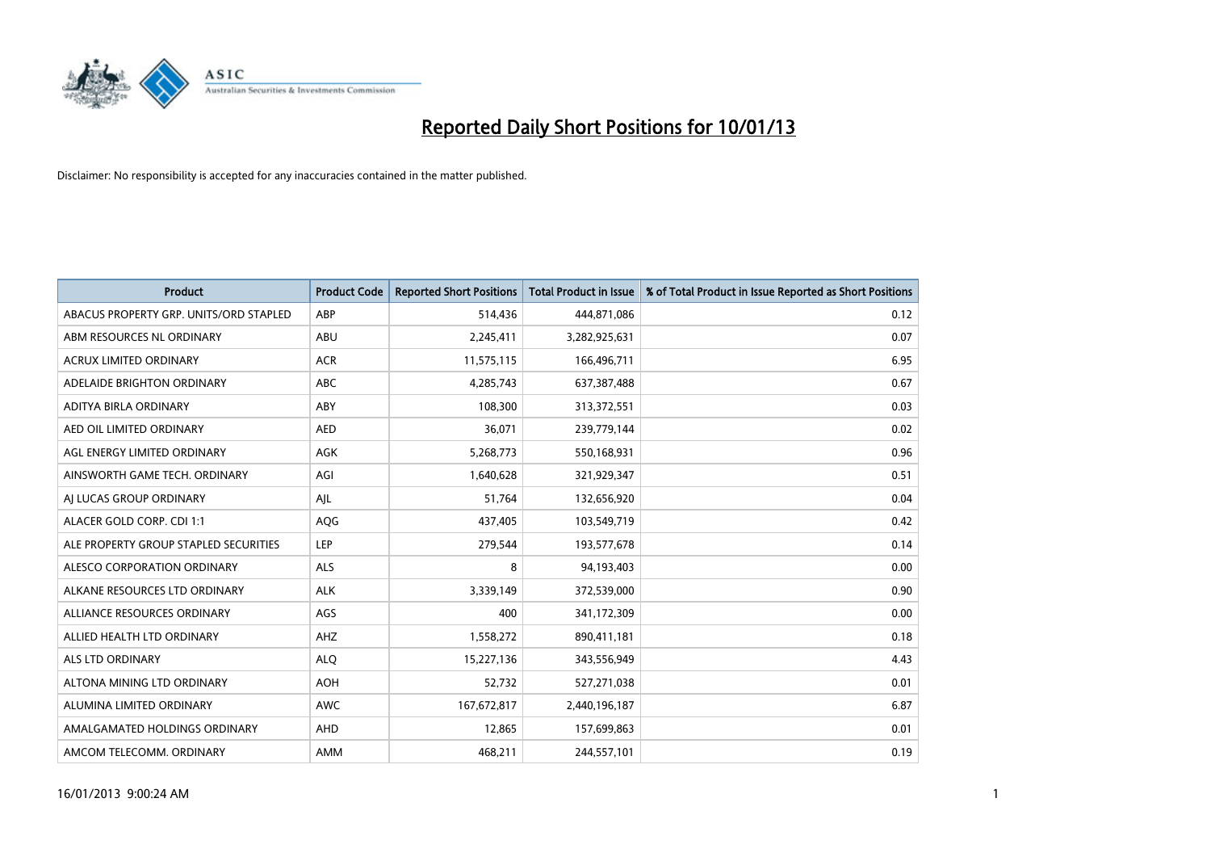

| <b>Product</b>                         | <b>Product Code</b> | <b>Reported Short Positions</b> | <b>Total Product in Issue</b> | % of Total Product in Issue Reported as Short Positions |
|----------------------------------------|---------------------|---------------------------------|-------------------------------|---------------------------------------------------------|
| ABACUS PROPERTY GRP. UNITS/ORD STAPLED | ABP                 | 514,436                         | 444,871,086                   | 0.12                                                    |
| ABM RESOURCES NL ORDINARY              | ABU                 | 2,245,411                       | 3,282,925,631                 | 0.07                                                    |
| <b>ACRUX LIMITED ORDINARY</b>          | <b>ACR</b>          | 11,575,115                      | 166,496,711                   | 6.95                                                    |
| ADELAIDE BRIGHTON ORDINARY             | <b>ABC</b>          | 4,285,743                       | 637, 387, 488                 | 0.67                                                    |
| ADITYA BIRLA ORDINARY                  | ABY                 | 108,300                         | 313,372,551                   | 0.03                                                    |
| AED OIL LIMITED ORDINARY               | <b>AED</b>          | 36,071                          | 239,779,144                   | 0.02                                                    |
| AGL ENERGY LIMITED ORDINARY            | <b>AGK</b>          | 5,268,773                       | 550,168,931                   | 0.96                                                    |
| AINSWORTH GAME TECH. ORDINARY          | AGI                 | 1,640,628                       | 321,929,347                   | 0.51                                                    |
| AI LUCAS GROUP ORDINARY                | AJL                 | 51,764                          | 132,656,920                   | 0.04                                                    |
| ALACER GOLD CORP. CDI 1:1              | AQG                 | 437,405                         | 103,549,719                   | 0.42                                                    |
| ALE PROPERTY GROUP STAPLED SECURITIES  | LEP                 | 279,544                         | 193,577,678                   | 0.14                                                    |
| ALESCO CORPORATION ORDINARY            | <b>ALS</b>          | 8                               | 94,193,403                    | 0.00                                                    |
| ALKANE RESOURCES LTD ORDINARY          | <b>ALK</b>          | 3,339,149                       | 372,539,000                   | 0.90                                                    |
| ALLIANCE RESOURCES ORDINARY            | AGS                 | 400                             | 341,172,309                   | 0.00                                                    |
| ALLIED HEALTH LTD ORDINARY             | <b>AHZ</b>          | 1,558,272                       | 890,411,181                   | 0.18                                                    |
| ALS LTD ORDINARY                       | <b>ALO</b>          | 15,227,136                      | 343,556,949                   | 4.43                                                    |
| ALTONA MINING LTD ORDINARY             | <b>AOH</b>          | 52,732                          | 527,271,038                   | 0.01                                                    |
| ALUMINA LIMITED ORDINARY               | <b>AWC</b>          | 167,672,817                     | 2,440,196,187                 | 6.87                                                    |
| AMALGAMATED HOLDINGS ORDINARY          | <b>AHD</b>          | 12,865                          | 157,699,863                   | 0.01                                                    |
| AMCOM TELECOMM, ORDINARY               | <b>AMM</b>          | 468,211                         | 244,557,101                   | 0.19                                                    |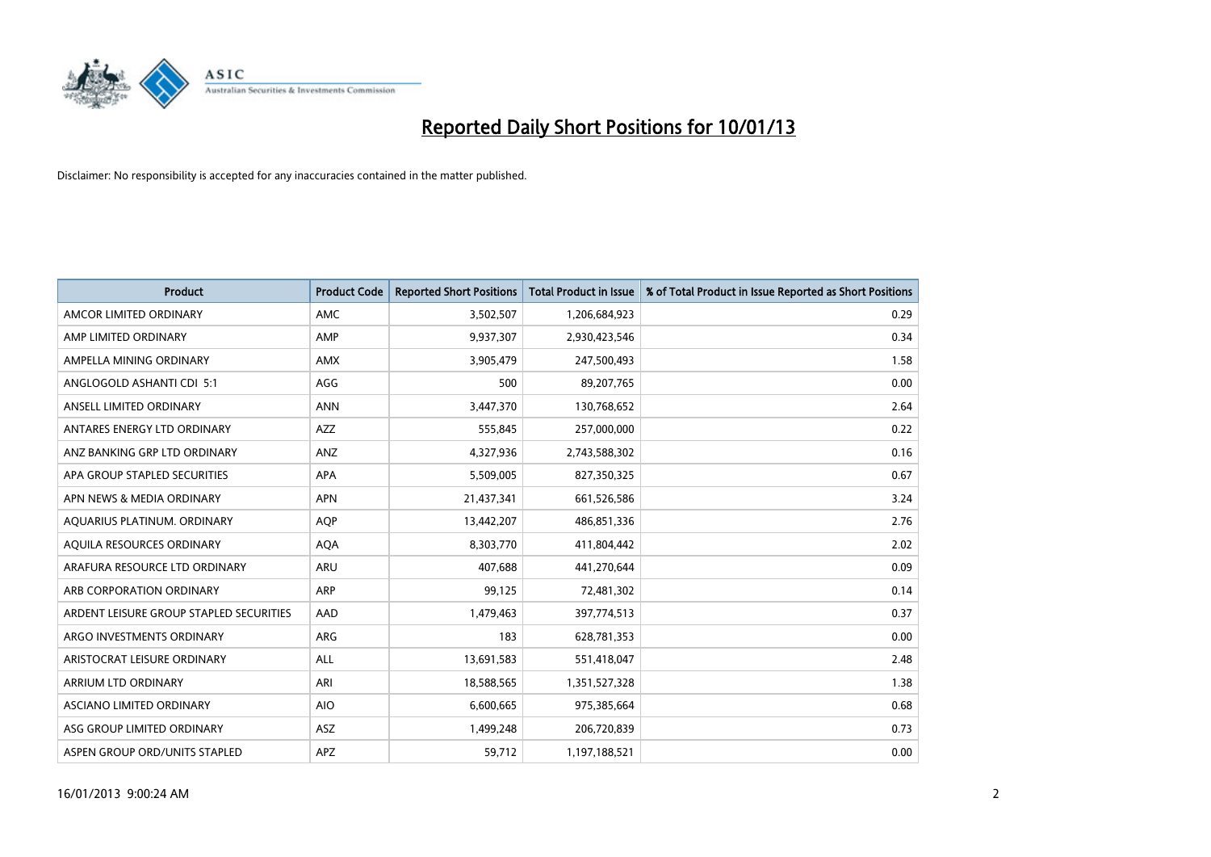

| <b>Product</b>                          | <b>Product Code</b> | <b>Reported Short Positions</b> | <b>Total Product in Issue</b> | % of Total Product in Issue Reported as Short Positions |
|-----------------------------------------|---------------------|---------------------------------|-------------------------------|---------------------------------------------------------|
| AMCOR LIMITED ORDINARY                  | <b>AMC</b>          | 3,502,507                       | 1,206,684,923                 | 0.29                                                    |
| AMP LIMITED ORDINARY                    | AMP                 | 9,937,307                       | 2,930,423,546                 | 0.34                                                    |
| AMPELLA MINING ORDINARY                 | <b>AMX</b>          | 3,905,479                       | 247,500,493                   | 1.58                                                    |
| ANGLOGOLD ASHANTI CDI 5:1               | AGG                 | 500                             | 89,207,765                    | 0.00                                                    |
| ANSELL LIMITED ORDINARY                 | <b>ANN</b>          | 3,447,370                       | 130,768,652                   | 2.64                                                    |
| ANTARES ENERGY LTD ORDINARY             | <b>AZZ</b>          | 555,845                         | 257,000,000                   | 0.22                                                    |
| ANZ BANKING GRP LTD ORDINARY            | ANZ                 | 4,327,936                       | 2,743,588,302                 | 0.16                                                    |
| APA GROUP STAPLED SECURITIES            | <b>APA</b>          | 5,509,005                       | 827,350,325                   | 0.67                                                    |
| APN NEWS & MEDIA ORDINARY               | <b>APN</b>          | 21,437,341                      | 661,526,586                   | 3.24                                                    |
| AQUARIUS PLATINUM. ORDINARY             | <b>AOP</b>          | 13,442,207                      | 486,851,336                   | 2.76                                                    |
| AQUILA RESOURCES ORDINARY               | <b>AQA</b>          | 8,303,770                       | 411,804,442                   | 2.02                                                    |
| ARAFURA RESOURCE LTD ORDINARY           | <b>ARU</b>          | 407,688                         | 441,270,644                   | 0.09                                                    |
| ARB CORPORATION ORDINARY                | <b>ARP</b>          | 99,125                          | 72,481,302                    | 0.14                                                    |
| ARDENT LEISURE GROUP STAPLED SECURITIES | AAD                 | 1,479,463                       | 397,774,513                   | 0.37                                                    |
| ARGO INVESTMENTS ORDINARY               | <b>ARG</b>          | 183                             | 628,781,353                   | 0.00                                                    |
| ARISTOCRAT LEISURE ORDINARY             | ALL                 | 13,691,583                      | 551,418,047                   | 2.48                                                    |
| ARRIUM LTD ORDINARY                     | ARI                 | 18,588,565                      | 1,351,527,328                 | 1.38                                                    |
| ASCIANO LIMITED ORDINARY                | <b>AIO</b>          | 6,600,665                       | 975,385,664                   | 0.68                                                    |
| ASG GROUP LIMITED ORDINARY              | <b>ASZ</b>          | 1,499,248                       | 206,720,839                   | 0.73                                                    |
| ASPEN GROUP ORD/UNITS STAPLED           | <b>APZ</b>          | 59,712                          | 1,197,188,521                 | 0.00                                                    |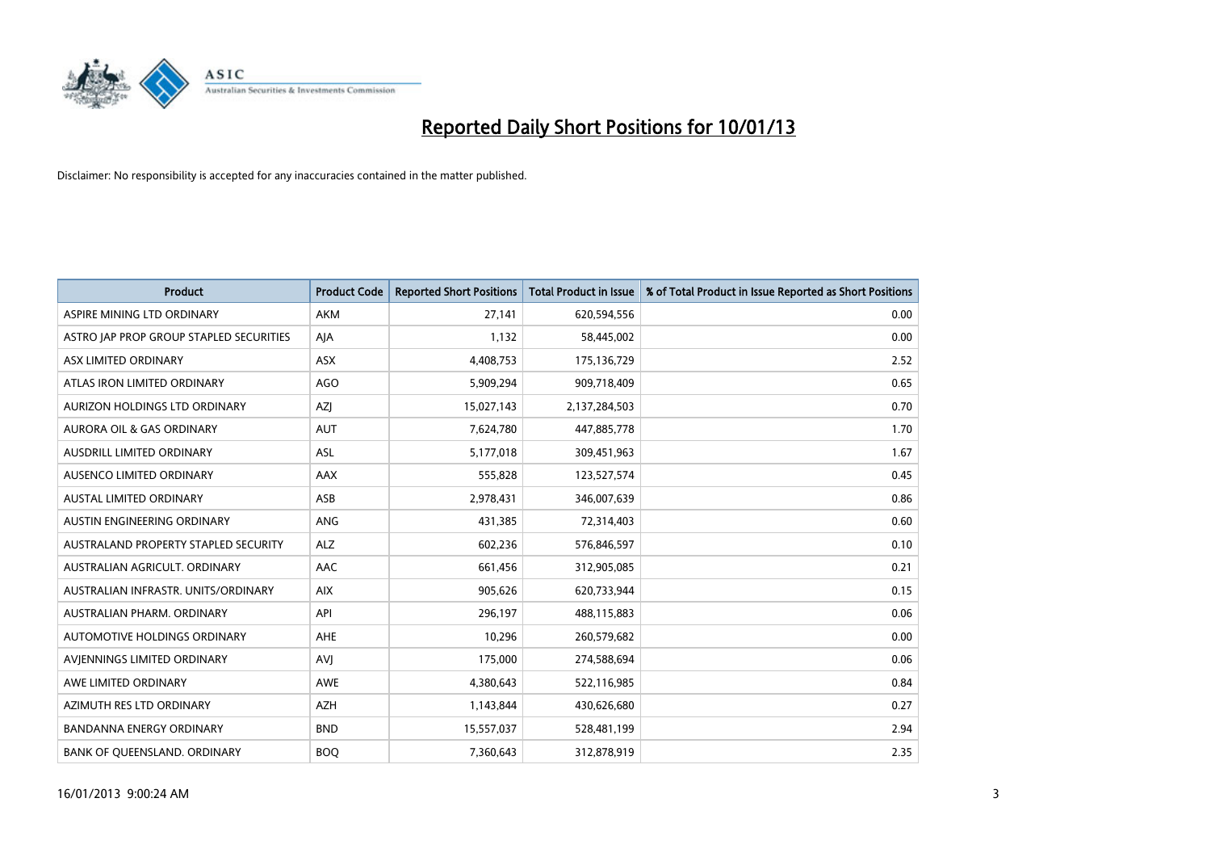

| <b>Product</b>                          | <b>Product Code</b> | <b>Reported Short Positions</b> | <b>Total Product in Issue</b> | % of Total Product in Issue Reported as Short Positions |
|-----------------------------------------|---------------------|---------------------------------|-------------------------------|---------------------------------------------------------|
| ASPIRE MINING LTD ORDINARY              | <b>AKM</b>          | 27,141                          | 620,594,556                   | 0.00                                                    |
| ASTRO JAP PROP GROUP STAPLED SECURITIES | AJA                 | 1,132                           | 58,445,002                    | 0.00                                                    |
| ASX LIMITED ORDINARY                    | <b>ASX</b>          | 4,408,753                       | 175,136,729                   | 2.52                                                    |
| ATLAS IRON LIMITED ORDINARY             | AGO                 | 5,909,294                       | 909,718,409                   | 0.65                                                    |
| AURIZON HOLDINGS LTD ORDINARY           | <b>AZI</b>          | 15,027,143                      | 2,137,284,503                 | 0.70                                                    |
| <b>AURORA OIL &amp; GAS ORDINARY</b>    | <b>AUT</b>          | 7,624,780                       | 447,885,778                   | 1.70                                                    |
| AUSDRILL LIMITED ORDINARY               | <b>ASL</b>          | 5,177,018                       | 309,451,963                   | 1.67                                                    |
| AUSENCO LIMITED ORDINARY                | AAX                 | 555,828                         | 123,527,574                   | 0.45                                                    |
| <b>AUSTAL LIMITED ORDINARY</b>          | ASB                 | 2,978,431                       | 346,007,639                   | 0.86                                                    |
| AUSTIN ENGINEERING ORDINARY             | ANG                 | 431,385                         | 72,314,403                    | 0.60                                                    |
| AUSTRALAND PROPERTY STAPLED SECURITY    | <b>ALZ</b>          | 602,236                         | 576,846,597                   | 0.10                                                    |
| AUSTRALIAN AGRICULT, ORDINARY           | AAC                 | 661,456                         | 312,905,085                   | 0.21                                                    |
| AUSTRALIAN INFRASTR. UNITS/ORDINARY     | <b>AIX</b>          | 905,626                         | 620,733,944                   | 0.15                                                    |
| AUSTRALIAN PHARM. ORDINARY              | API                 | 296,197                         | 488,115,883                   | 0.06                                                    |
| AUTOMOTIVE HOLDINGS ORDINARY            | <b>AHE</b>          | 10,296                          | 260,579,682                   | 0.00                                                    |
| AVIENNINGS LIMITED ORDINARY             | AVI                 | 175,000                         | 274,588,694                   | 0.06                                                    |
| AWE LIMITED ORDINARY                    | AWE                 | 4,380,643                       | 522,116,985                   | 0.84                                                    |
| AZIMUTH RES LTD ORDINARY                | <b>AZH</b>          | 1,143,844                       | 430,626,680                   | 0.27                                                    |
| <b>BANDANNA ENERGY ORDINARY</b>         | <b>BND</b>          | 15,557,037                      | 528,481,199                   | 2.94                                                    |
| BANK OF QUEENSLAND. ORDINARY            | <b>BOQ</b>          | 7,360,643                       | 312,878,919                   | 2.35                                                    |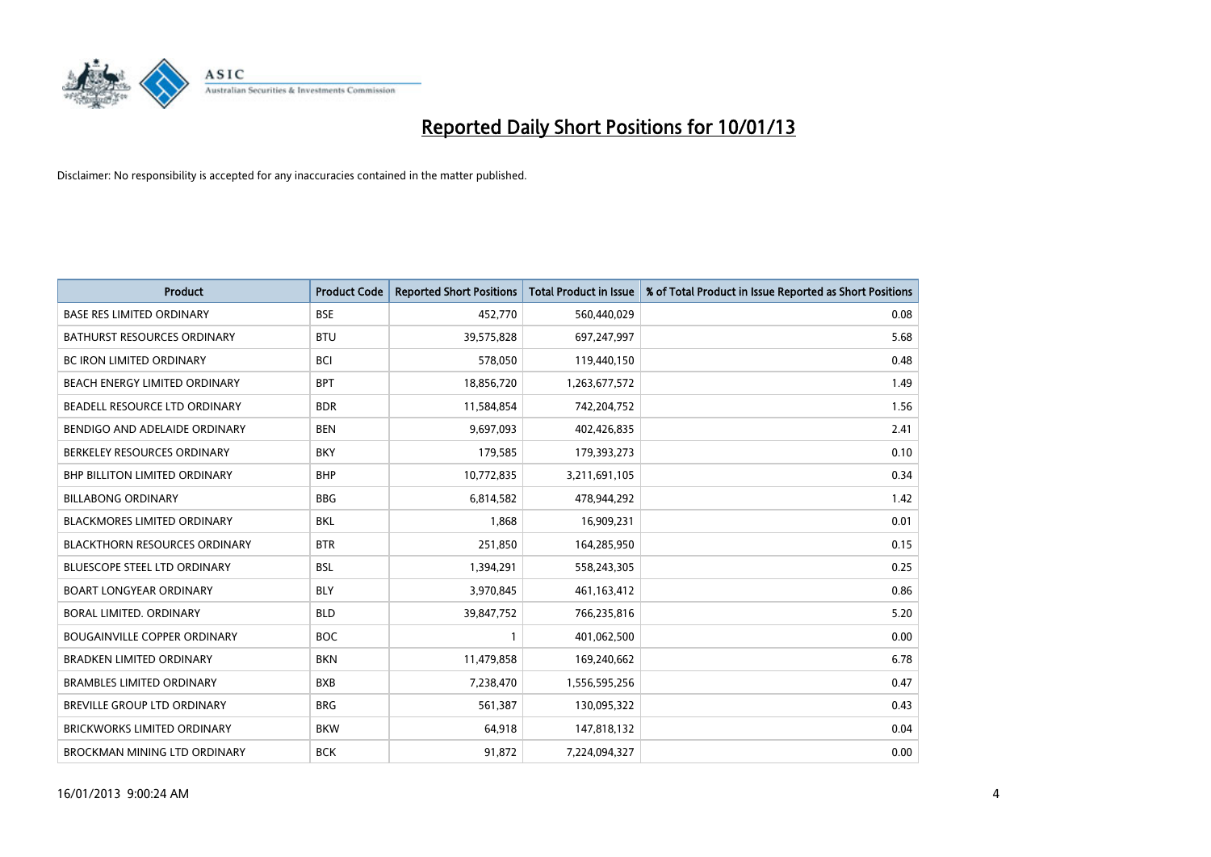

| <b>Product</b>                       | <b>Product Code</b> | <b>Reported Short Positions</b> | <b>Total Product in Issue</b> | % of Total Product in Issue Reported as Short Positions |
|--------------------------------------|---------------------|---------------------------------|-------------------------------|---------------------------------------------------------|
| <b>BASE RES LIMITED ORDINARY</b>     | <b>BSE</b>          | 452,770                         | 560,440,029                   | 0.08                                                    |
| <b>BATHURST RESOURCES ORDINARY</b>   | <b>BTU</b>          | 39,575,828                      | 697,247,997                   | 5.68                                                    |
| <b>BC IRON LIMITED ORDINARY</b>      | <b>BCI</b>          | 578,050                         | 119,440,150                   | 0.48                                                    |
| BEACH ENERGY LIMITED ORDINARY        | <b>BPT</b>          | 18,856,720                      | 1,263,677,572                 | 1.49                                                    |
| BEADELL RESOURCE LTD ORDINARY        | <b>BDR</b>          | 11,584,854                      | 742,204,752                   | 1.56                                                    |
| BENDIGO AND ADELAIDE ORDINARY        | <b>BEN</b>          | 9,697,093                       | 402,426,835                   | 2.41                                                    |
| BERKELEY RESOURCES ORDINARY          | <b>BKY</b>          | 179,585                         | 179,393,273                   | 0.10                                                    |
| <b>BHP BILLITON LIMITED ORDINARY</b> | <b>BHP</b>          | 10,772,835                      | 3,211,691,105                 | 0.34                                                    |
| <b>BILLABONG ORDINARY</b>            | <b>BBG</b>          | 6,814,582                       | 478,944,292                   | 1.42                                                    |
| <b>BLACKMORES LIMITED ORDINARY</b>   | <b>BKL</b>          | 1,868                           | 16,909,231                    | 0.01                                                    |
| <b>BLACKTHORN RESOURCES ORDINARY</b> | <b>BTR</b>          | 251,850                         | 164,285,950                   | 0.15                                                    |
| <b>BLUESCOPE STEEL LTD ORDINARY</b>  | <b>BSL</b>          | 1,394,291                       | 558,243,305                   | 0.25                                                    |
| <b>BOART LONGYEAR ORDINARY</b>       | <b>BLY</b>          | 3,970,845                       | 461,163,412                   | 0.86                                                    |
| BORAL LIMITED, ORDINARY              | <b>BLD</b>          | 39,847,752                      | 766,235,816                   | 5.20                                                    |
| <b>BOUGAINVILLE COPPER ORDINARY</b>  | <b>BOC</b>          | $\mathbf{1}$                    | 401,062,500                   | 0.00                                                    |
| <b>BRADKEN LIMITED ORDINARY</b>      | <b>BKN</b>          | 11,479,858                      | 169,240,662                   | 6.78                                                    |
| <b>BRAMBLES LIMITED ORDINARY</b>     | <b>BXB</b>          | 7,238,470                       | 1,556,595,256                 | 0.47                                                    |
| <b>BREVILLE GROUP LTD ORDINARY</b>   | <b>BRG</b>          | 561,387                         | 130,095,322                   | 0.43                                                    |
| <b>BRICKWORKS LIMITED ORDINARY</b>   | <b>BKW</b>          | 64,918                          | 147,818,132                   | 0.04                                                    |
| BROCKMAN MINING LTD ORDINARY         | <b>BCK</b>          | 91,872                          | 7,224,094,327                 | 0.00                                                    |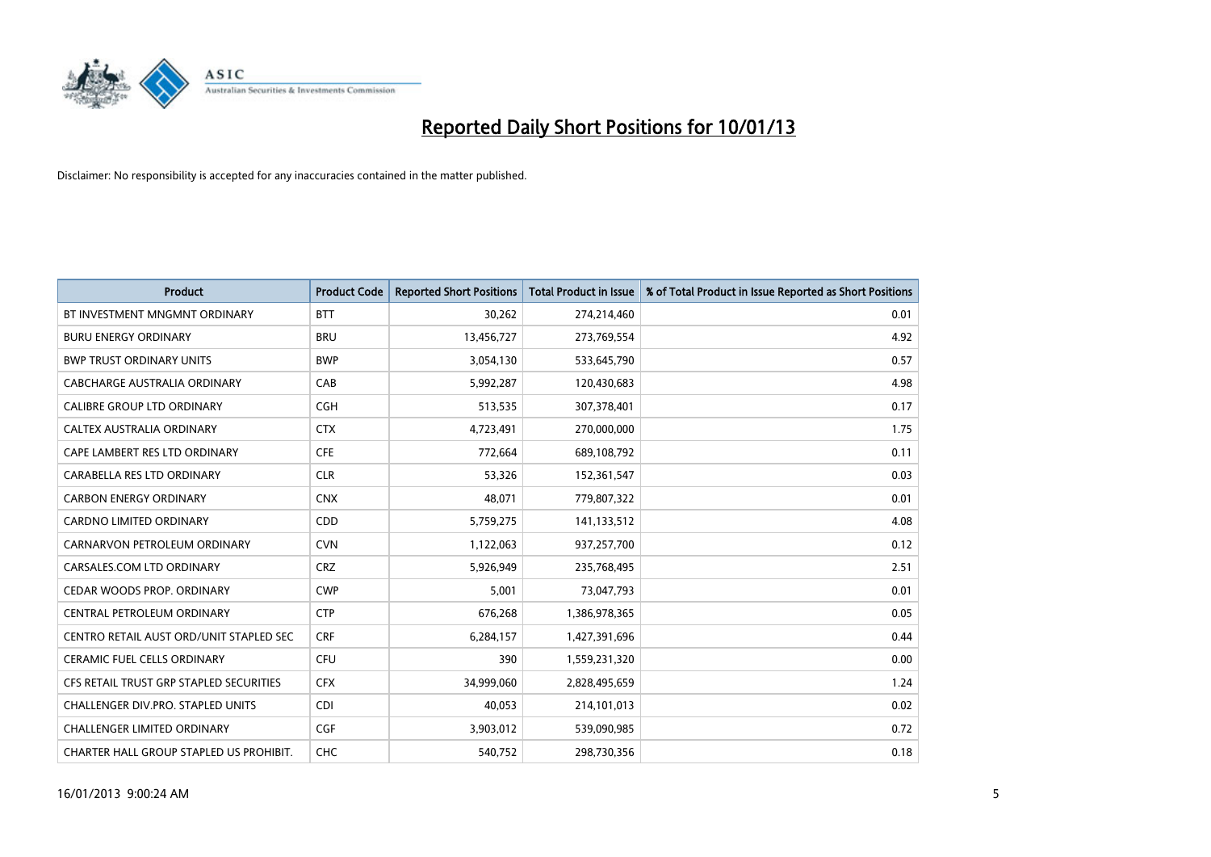

| <b>Product</b>                           | <b>Product Code</b> | <b>Reported Short Positions</b> | Total Product in Issue | % of Total Product in Issue Reported as Short Positions |
|------------------------------------------|---------------------|---------------------------------|------------------------|---------------------------------------------------------|
| BT INVESTMENT MNGMNT ORDINARY            | <b>BTT</b>          | 30,262                          | 274,214,460            | 0.01                                                    |
| <b>BURU ENERGY ORDINARY</b>              | <b>BRU</b>          | 13,456,727                      | 273,769,554            | 4.92                                                    |
| <b>BWP TRUST ORDINARY UNITS</b>          | <b>BWP</b>          | 3,054,130                       | 533,645,790            | 0.57                                                    |
| CABCHARGE AUSTRALIA ORDINARY             | CAB                 | 5,992,287                       | 120,430,683            | 4.98                                                    |
| <b>CALIBRE GROUP LTD ORDINARY</b>        | <b>CGH</b>          | 513,535                         | 307,378,401            | 0.17                                                    |
| CALTEX AUSTRALIA ORDINARY                | <b>CTX</b>          | 4,723,491                       | 270,000,000            | 1.75                                                    |
| CAPE LAMBERT RES LTD ORDINARY            | <b>CFE</b>          | 772.664                         | 689,108,792            | 0.11                                                    |
| CARABELLA RES LTD ORDINARY               | <b>CLR</b>          | 53,326                          | 152,361,547            | 0.03                                                    |
| <b>CARBON ENERGY ORDINARY</b>            | <b>CNX</b>          | 48,071                          | 779,807,322            | 0.01                                                    |
| <b>CARDNO LIMITED ORDINARY</b>           | <b>CDD</b>          | 5,759,275                       | 141,133,512            | 4.08                                                    |
| CARNARVON PETROLEUM ORDINARY             | <b>CVN</b>          | 1,122,063                       | 937,257,700            | 0.12                                                    |
| CARSALES.COM LTD ORDINARY                | <b>CRZ</b>          | 5,926,949                       | 235,768,495            | 2.51                                                    |
| CEDAR WOODS PROP. ORDINARY               | <b>CWP</b>          | 5,001                           | 73,047,793             | 0.01                                                    |
| CENTRAL PETROLEUM ORDINARY               | <b>CTP</b>          | 676,268                         | 1,386,978,365          | 0.05                                                    |
| CENTRO RETAIL AUST ORD/UNIT STAPLED SEC  | <b>CRF</b>          | 6,284,157                       | 1,427,391,696          | 0.44                                                    |
| CERAMIC FUEL CELLS ORDINARY              | CFU                 | 390                             | 1,559,231,320          | 0.00                                                    |
| CFS RETAIL TRUST GRP STAPLED SECURITIES  | <b>CFX</b>          | 34,999,060                      | 2,828,495,659          | 1.24                                                    |
| <b>CHALLENGER DIV.PRO. STAPLED UNITS</b> | <b>CDI</b>          | 40,053                          | 214,101,013            | 0.02                                                    |
| <b>CHALLENGER LIMITED ORDINARY</b>       | <b>CGF</b>          | 3,903,012                       | 539,090,985            | 0.72                                                    |
| CHARTER HALL GROUP STAPLED US PROHIBIT.  | <b>CHC</b>          | 540.752                         | 298,730,356            | 0.18                                                    |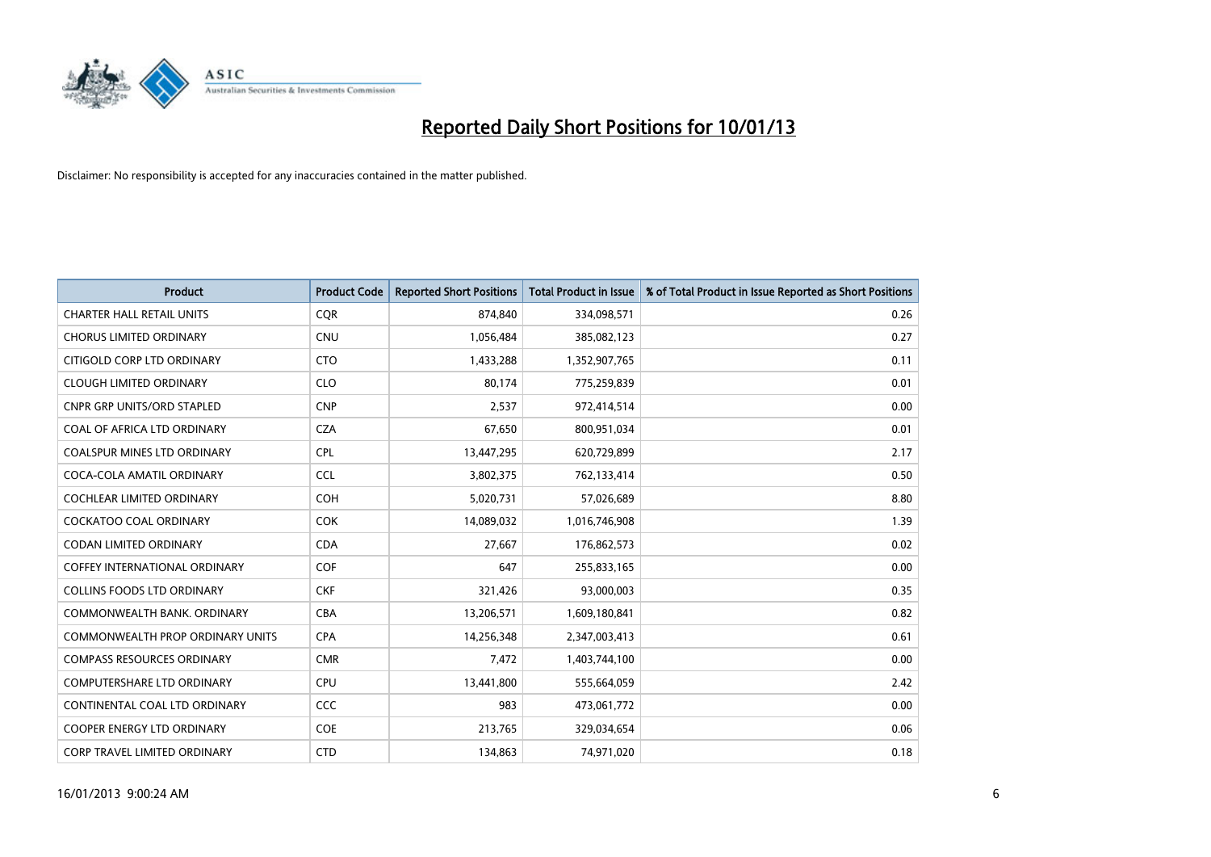

| <b>Product</b>                          | <b>Product Code</b> | <b>Reported Short Positions</b> | <b>Total Product in Issue</b> | % of Total Product in Issue Reported as Short Positions |
|-----------------------------------------|---------------------|---------------------------------|-------------------------------|---------------------------------------------------------|
| <b>CHARTER HALL RETAIL UNITS</b>        | <b>COR</b>          | 874,840                         | 334,098,571                   | 0.26                                                    |
| <b>CHORUS LIMITED ORDINARY</b>          | <b>CNU</b>          | 1,056,484                       | 385,082,123                   | 0.27                                                    |
| CITIGOLD CORP LTD ORDINARY              | <b>CTO</b>          | 1,433,288                       | 1,352,907,765                 | 0.11                                                    |
| <b>CLOUGH LIMITED ORDINARY</b>          | <b>CLO</b>          | 80,174                          | 775,259,839                   | 0.01                                                    |
| <b>CNPR GRP UNITS/ORD STAPLED</b>       | <b>CNP</b>          | 2,537                           | 972,414,514                   | 0.00                                                    |
| COAL OF AFRICA LTD ORDINARY             | <b>CZA</b>          | 67,650                          | 800,951,034                   | 0.01                                                    |
| <b>COALSPUR MINES LTD ORDINARY</b>      | <b>CPL</b>          | 13,447,295                      | 620,729,899                   | 2.17                                                    |
| COCA-COLA AMATIL ORDINARY               | <b>CCL</b>          | 3,802,375                       | 762,133,414                   | 0.50                                                    |
| <b>COCHLEAR LIMITED ORDINARY</b>        | <b>COH</b>          | 5,020,731                       | 57,026,689                    | 8.80                                                    |
| <b>COCKATOO COAL ORDINARY</b>           | <b>COK</b>          | 14,089,032                      | 1,016,746,908                 | 1.39                                                    |
| CODAN LIMITED ORDINARY                  | <b>CDA</b>          | 27,667                          | 176,862,573                   | 0.02                                                    |
| <b>COFFEY INTERNATIONAL ORDINARY</b>    | <b>COF</b>          | 647                             | 255,833,165                   | 0.00                                                    |
| <b>COLLINS FOODS LTD ORDINARY</b>       | <b>CKF</b>          | 321,426                         | 93,000,003                    | 0.35                                                    |
| COMMONWEALTH BANK, ORDINARY             | <b>CBA</b>          | 13,206,571                      | 1,609,180,841                 | 0.82                                                    |
| <b>COMMONWEALTH PROP ORDINARY UNITS</b> | <b>CPA</b>          | 14,256,348                      | 2,347,003,413                 | 0.61                                                    |
| <b>COMPASS RESOURCES ORDINARY</b>       | <b>CMR</b>          | 7,472                           | 1,403,744,100                 | 0.00                                                    |
| COMPUTERSHARE LTD ORDINARY              | <b>CPU</b>          | 13,441,800                      | 555,664,059                   | 2.42                                                    |
| CONTINENTAL COAL LTD ORDINARY           | CCC                 | 983                             | 473,061,772                   | 0.00                                                    |
| <b>COOPER ENERGY LTD ORDINARY</b>       | <b>COE</b>          | 213,765                         | 329,034,654                   | 0.06                                                    |
| CORP TRAVEL LIMITED ORDINARY            | <b>CTD</b>          | 134,863                         | 74,971,020                    | 0.18                                                    |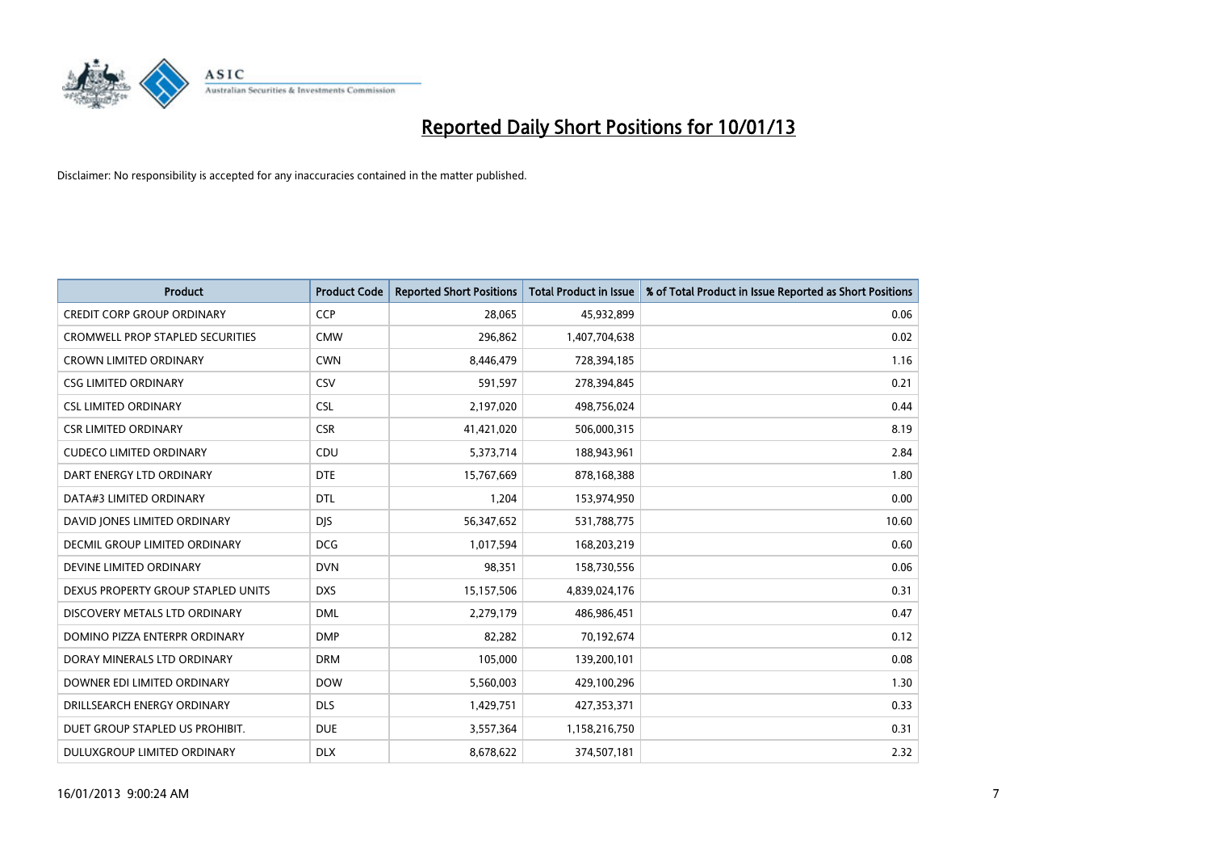

| <b>Product</b>                          | <b>Product Code</b> | <b>Reported Short Positions</b> | <b>Total Product in Issue</b> | % of Total Product in Issue Reported as Short Positions |
|-----------------------------------------|---------------------|---------------------------------|-------------------------------|---------------------------------------------------------|
| <b>CREDIT CORP GROUP ORDINARY</b>       | <b>CCP</b>          | 28,065                          | 45,932,899                    | 0.06                                                    |
| <b>CROMWELL PROP STAPLED SECURITIES</b> | <b>CMW</b>          | 296,862                         | 1,407,704,638                 | 0.02                                                    |
| <b>CROWN LIMITED ORDINARY</b>           | <b>CWN</b>          | 8,446,479                       | 728,394,185                   | 1.16                                                    |
| <b>CSG LIMITED ORDINARY</b>             | CSV                 | 591,597                         | 278,394,845                   | 0.21                                                    |
| <b>CSL LIMITED ORDINARY</b>             | <b>CSL</b>          | 2,197,020                       | 498,756,024                   | 0.44                                                    |
| <b>CSR LIMITED ORDINARY</b>             | <b>CSR</b>          | 41,421,020                      | 506,000,315                   | 8.19                                                    |
| <b>CUDECO LIMITED ORDINARY</b>          | CDU                 | 5,373,714                       | 188,943,961                   | 2.84                                                    |
| DART ENERGY LTD ORDINARY                | <b>DTE</b>          | 15,767,669                      | 878,168,388                   | 1.80                                                    |
| DATA#3 LIMITED ORDINARY                 | <b>DTL</b>          | 1,204                           | 153,974,950                   | 0.00                                                    |
| DAVID JONES LIMITED ORDINARY            | <b>DIS</b>          | 56,347,652                      | 531,788,775                   | 10.60                                                   |
| <b>DECMIL GROUP LIMITED ORDINARY</b>    | <b>DCG</b>          | 1,017,594                       | 168,203,219                   | 0.60                                                    |
| DEVINE LIMITED ORDINARY                 | <b>DVN</b>          | 98,351                          | 158,730,556                   | 0.06                                                    |
| DEXUS PROPERTY GROUP STAPLED UNITS      | <b>DXS</b>          | 15,157,506                      | 4,839,024,176                 | 0.31                                                    |
| DISCOVERY METALS LTD ORDINARY           | <b>DML</b>          | 2,279,179                       | 486,986,451                   | 0.47                                                    |
| DOMINO PIZZA ENTERPR ORDINARY           | <b>DMP</b>          | 82,282                          | 70,192,674                    | 0.12                                                    |
| DORAY MINERALS LTD ORDINARY             | <b>DRM</b>          | 105,000                         | 139,200,101                   | 0.08                                                    |
| DOWNER EDI LIMITED ORDINARY             | <b>DOW</b>          | 5,560,003                       | 429,100,296                   | 1.30                                                    |
| DRILLSEARCH ENERGY ORDINARY             | <b>DLS</b>          | 1,429,751                       | 427,353,371                   | 0.33                                                    |
| DUET GROUP STAPLED US PROHIBIT.         | <b>DUE</b>          | 3,557,364                       | 1,158,216,750                 | 0.31                                                    |
| DULUXGROUP LIMITED ORDINARY             | <b>DLX</b>          | 8,678,622                       | 374,507,181                   | 2.32                                                    |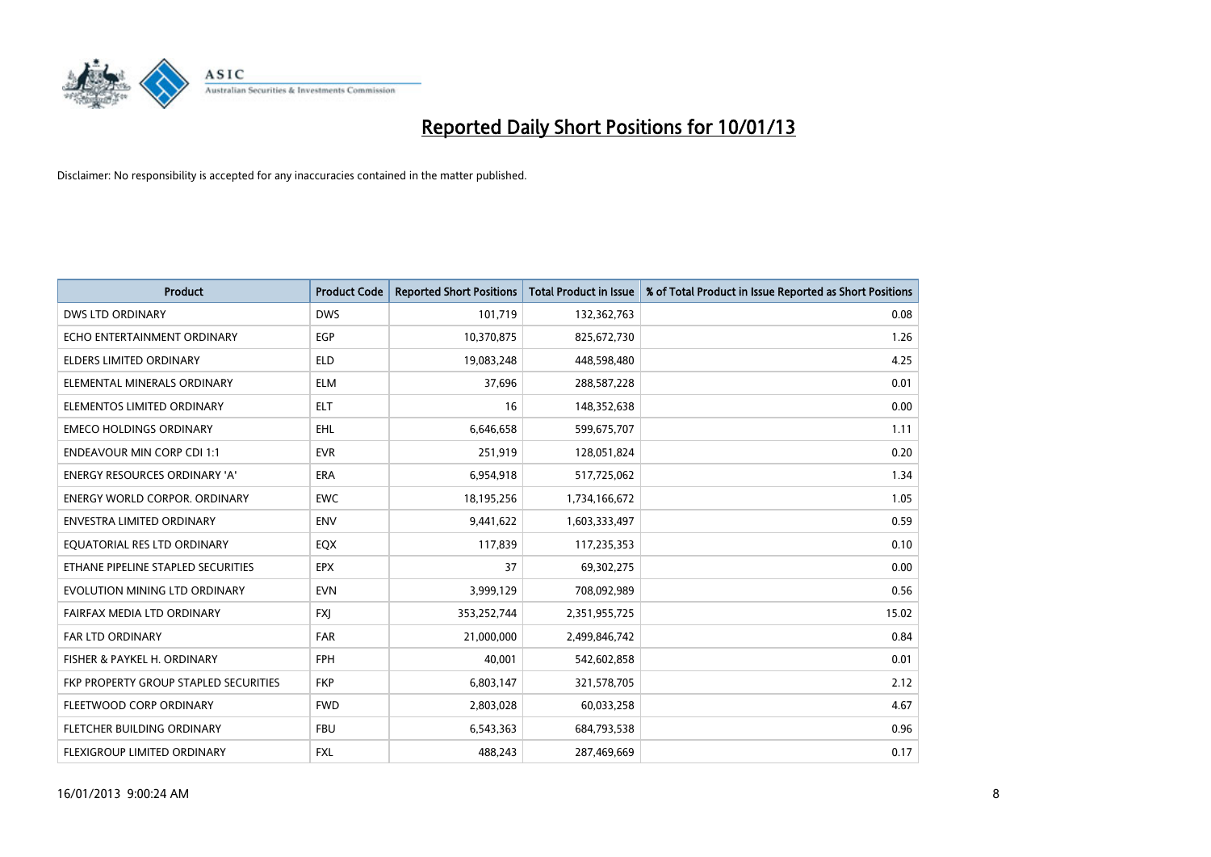

| <b>Product</b>                        | <b>Product Code</b> | <b>Reported Short Positions</b> | <b>Total Product in Issue</b> | % of Total Product in Issue Reported as Short Positions |
|---------------------------------------|---------------------|---------------------------------|-------------------------------|---------------------------------------------------------|
| <b>DWS LTD ORDINARY</b>               | <b>DWS</b>          | 101,719                         | 132,362,763                   | 0.08                                                    |
| ECHO ENTERTAINMENT ORDINARY           | <b>EGP</b>          | 10,370,875                      | 825,672,730                   | 1.26                                                    |
| <b>ELDERS LIMITED ORDINARY</b>        | <b>ELD</b>          | 19,083,248                      | 448,598,480                   | 4.25                                                    |
| ELEMENTAL MINERALS ORDINARY           | <b>ELM</b>          | 37,696                          | 288,587,228                   | 0.01                                                    |
| ELEMENTOS LIMITED ORDINARY            | <b>ELT</b>          | 16                              | 148,352,638                   | 0.00                                                    |
| <b>EMECO HOLDINGS ORDINARY</b>        | EHL.                | 6,646,658                       | 599,675,707                   | 1.11                                                    |
| <b>ENDEAVOUR MIN CORP CDI 1:1</b>     | <b>EVR</b>          | 251,919                         | 128,051,824                   | 0.20                                                    |
| ENERGY RESOURCES ORDINARY 'A'         | <b>ERA</b>          | 6,954,918                       | 517,725,062                   | 1.34                                                    |
| <b>ENERGY WORLD CORPOR, ORDINARY</b>  | <b>EWC</b>          | 18,195,256                      | 1,734,166,672                 | 1.05                                                    |
| <b>ENVESTRA LIMITED ORDINARY</b>      | <b>ENV</b>          | 9,441,622                       | 1,603,333,497                 | 0.59                                                    |
| EQUATORIAL RES LTD ORDINARY           | EQX                 | 117,839                         | 117,235,353                   | 0.10                                                    |
| ETHANE PIPELINE STAPLED SECURITIES    | <b>EPX</b>          | 37                              | 69,302,275                    | 0.00                                                    |
| EVOLUTION MINING LTD ORDINARY         | <b>EVN</b>          | 3,999,129                       | 708,092,989                   | 0.56                                                    |
| FAIRFAX MEDIA LTD ORDINARY            | <b>FXI</b>          | 353,252,744                     | 2,351,955,725                 | 15.02                                                   |
| <b>FAR LTD ORDINARY</b>               | <b>FAR</b>          | 21,000,000                      | 2,499,846,742                 | 0.84                                                    |
| FISHER & PAYKEL H. ORDINARY           | <b>FPH</b>          | 40,001                          | 542,602,858                   | 0.01                                                    |
| FKP PROPERTY GROUP STAPLED SECURITIES | <b>FKP</b>          | 6,803,147                       | 321,578,705                   | 2.12                                                    |
| FLEETWOOD CORP ORDINARY               | <b>FWD</b>          | 2,803,028                       | 60,033,258                    | 4.67                                                    |
| FLETCHER BUILDING ORDINARY            | <b>FBU</b>          | 6,543,363                       | 684,793,538                   | 0.96                                                    |
| FLEXIGROUP LIMITED ORDINARY           | <b>FXL</b>          | 488.243                         | 287,469,669                   | 0.17                                                    |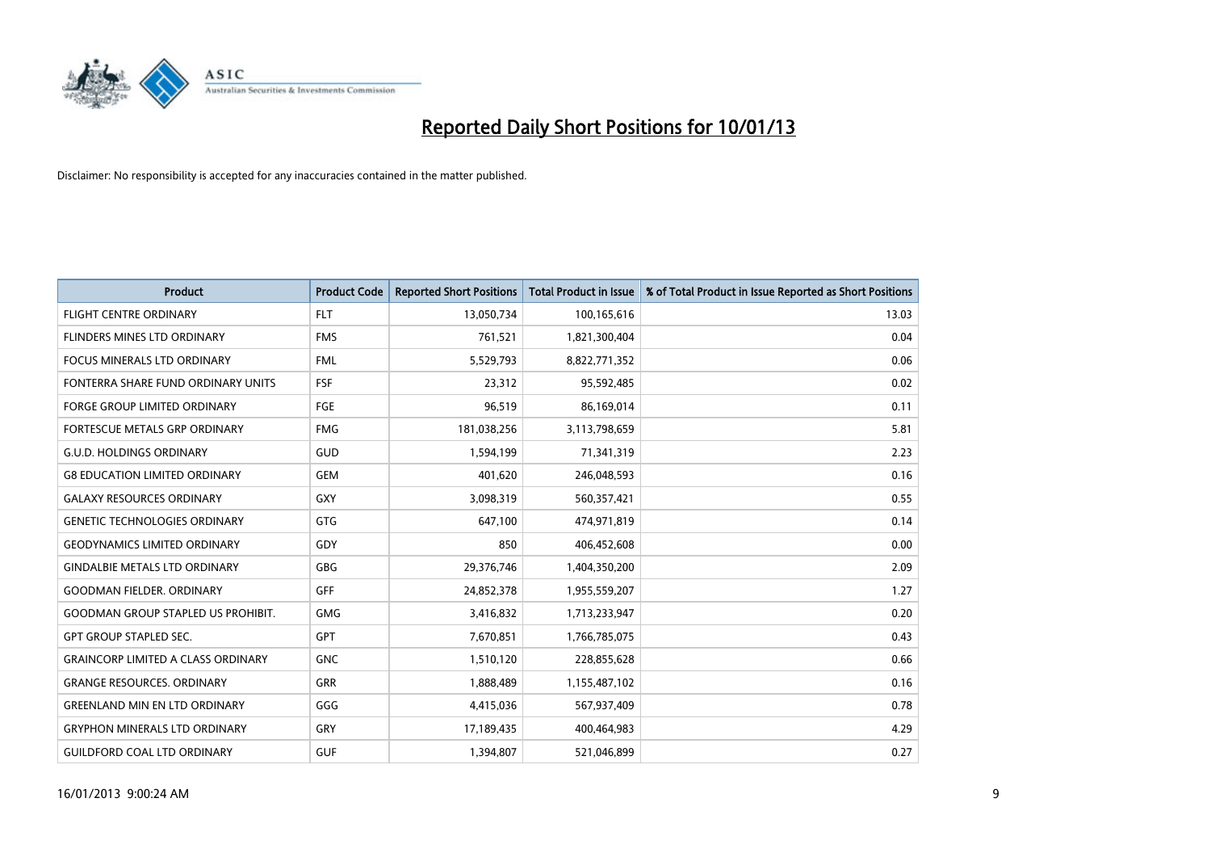

| <b>Product</b>                            | <b>Product Code</b> | <b>Reported Short Positions</b> | <b>Total Product in Issue</b> | % of Total Product in Issue Reported as Short Positions |
|-------------------------------------------|---------------------|---------------------------------|-------------------------------|---------------------------------------------------------|
| <b>FLIGHT CENTRE ORDINARY</b>             | <b>FLT</b>          | 13,050,734                      | 100,165,616                   | 13.03                                                   |
| FLINDERS MINES LTD ORDINARY               | <b>FMS</b>          | 761,521                         | 1,821,300,404                 | 0.04                                                    |
| FOCUS MINERALS LTD ORDINARY               | <b>FML</b>          | 5,529,793                       | 8,822,771,352                 | 0.06                                                    |
| FONTERRA SHARE FUND ORDINARY UNITS        | <b>FSF</b>          | 23,312                          | 95,592,485                    | 0.02                                                    |
| <b>FORGE GROUP LIMITED ORDINARY</b>       | FGE                 | 96,519                          | 86,169,014                    | 0.11                                                    |
| FORTESCUE METALS GRP ORDINARY             | <b>FMG</b>          | 181,038,256                     | 3,113,798,659                 | 5.81                                                    |
| <b>G.U.D. HOLDINGS ORDINARY</b>           | GUD                 | 1,594,199                       | 71,341,319                    | 2.23                                                    |
| <b>G8 EDUCATION LIMITED ORDINARY</b>      | <b>GEM</b>          | 401,620                         | 246,048,593                   | 0.16                                                    |
| <b>GALAXY RESOURCES ORDINARY</b>          | <b>GXY</b>          | 3,098,319                       | 560,357,421                   | 0.55                                                    |
| <b>GENETIC TECHNOLOGIES ORDINARY</b>      | <b>GTG</b>          | 647,100                         | 474,971,819                   | 0.14                                                    |
| <b>GEODYNAMICS LIMITED ORDINARY</b>       | GDY                 | 850                             | 406,452,608                   | 0.00                                                    |
| <b>GINDALBIE METALS LTD ORDINARY</b>      | <b>GBG</b>          | 29,376,746                      | 1,404,350,200                 | 2.09                                                    |
| <b>GOODMAN FIELDER, ORDINARY</b>          | <b>GFF</b>          | 24,852,378                      | 1,955,559,207                 | 1.27                                                    |
| <b>GOODMAN GROUP STAPLED US PROHIBIT.</b> | <b>GMG</b>          | 3,416,832                       | 1,713,233,947                 | 0.20                                                    |
| <b>GPT GROUP STAPLED SEC.</b>             | <b>GPT</b>          | 7,670,851                       | 1,766,785,075                 | 0.43                                                    |
| <b>GRAINCORP LIMITED A CLASS ORDINARY</b> | <b>GNC</b>          | 1,510,120                       | 228,855,628                   | 0.66                                                    |
| <b>GRANGE RESOURCES. ORDINARY</b>         | GRR                 | 1,888,489                       | 1,155,487,102                 | 0.16                                                    |
| <b>GREENLAND MIN EN LTD ORDINARY</b>      | GGG                 | 4,415,036                       | 567,937,409                   | 0.78                                                    |
| <b>GRYPHON MINERALS LTD ORDINARY</b>      | GRY                 | 17,189,435                      | 400,464,983                   | 4.29                                                    |
| <b>GUILDFORD COAL LTD ORDINARY</b>        | <b>GUF</b>          | 1,394,807                       | 521,046,899                   | 0.27                                                    |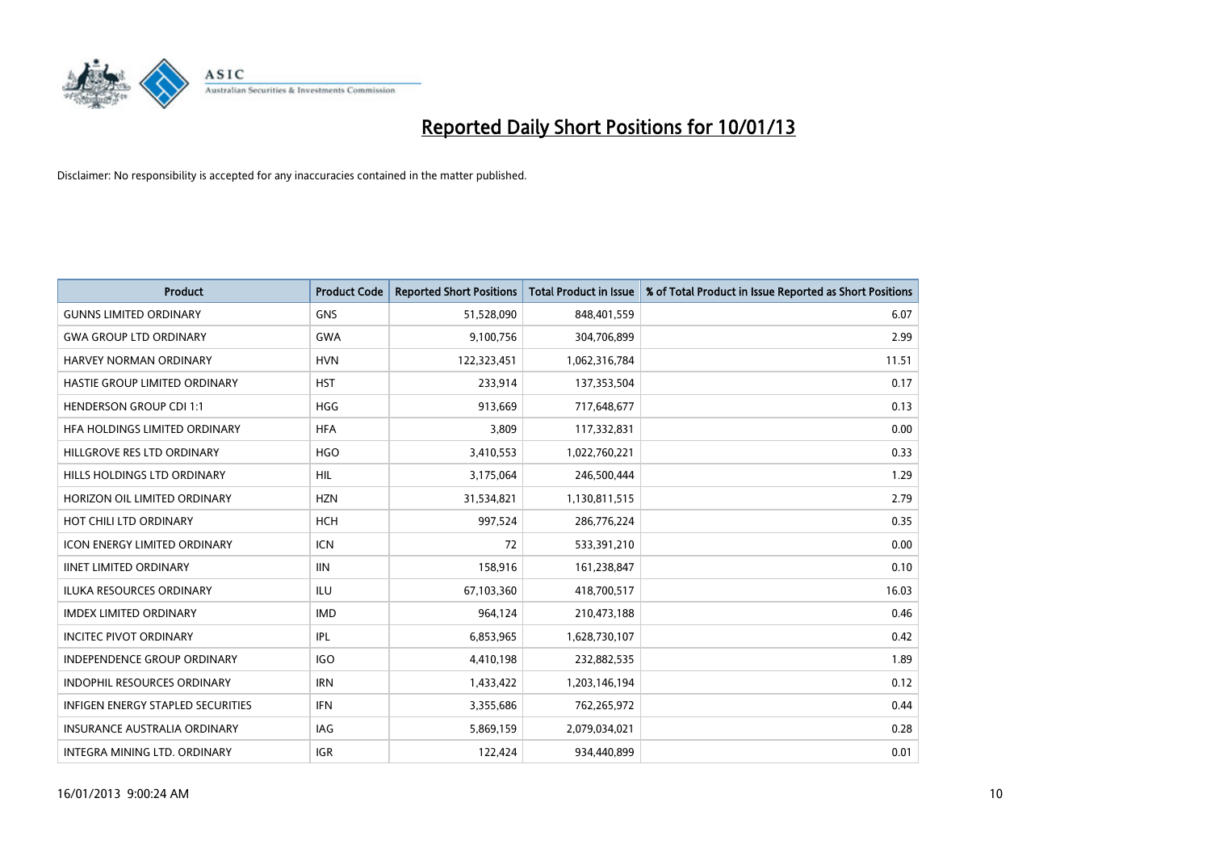

| <b>Product</b>                      | <b>Product Code</b> | <b>Reported Short Positions</b> | <b>Total Product in Issue</b> | % of Total Product in Issue Reported as Short Positions |
|-------------------------------------|---------------------|---------------------------------|-------------------------------|---------------------------------------------------------|
| <b>GUNNS LIMITED ORDINARY</b>       | <b>GNS</b>          | 51,528,090                      | 848,401,559                   | 6.07                                                    |
| <b>GWA GROUP LTD ORDINARY</b>       | <b>GWA</b>          | 9,100,756                       | 304,706,899                   | 2.99                                                    |
| HARVEY NORMAN ORDINARY              | <b>HVN</b>          | 122,323,451                     | 1,062,316,784                 | 11.51                                                   |
| HASTIE GROUP LIMITED ORDINARY       | <b>HST</b>          | 233,914                         | 137,353,504                   | 0.17                                                    |
| <b>HENDERSON GROUP CDI 1:1</b>      | <b>HGG</b>          | 913,669                         | 717,648,677                   | 0.13                                                    |
| HFA HOLDINGS LIMITED ORDINARY       | <b>HFA</b>          | 3,809                           | 117,332,831                   | 0.00                                                    |
| HILLGROVE RES LTD ORDINARY          | <b>HGO</b>          | 3,410,553                       | 1,022,760,221                 | 0.33                                                    |
| HILLS HOLDINGS LTD ORDINARY         | <b>HIL</b>          | 3,175,064                       | 246,500,444                   | 1.29                                                    |
| HORIZON OIL LIMITED ORDINARY        | <b>HZN</b>          | 31,534,821                      | 1,130,811,515                 | 2.79                                                    |
| HOT CHILI LTD ORDINARY              | <b>HCH</b>          | 997,524                         | 286,776,224                   | 0.35                                                    |
| <b>ICON ENERGY LIMITED ORDINARY</b> | <b>ICN</b>          | 72                              | 533,391,210                   | 0.00                                                    |
| <b>IINET LIMITED ORDINARY</b>       | <b>IIN</b>          | 158,916                         | 161,238,847                   | 0.10                                                    |
| <b>ILUKA RESOURCES ORDINARY</b>     | ILU                 | 67,103,360                      | 418,700,517                   | 16.03                                                   |
| <b>IMDEX LIMITED ORDINARY</b>       | <b>IMD</b>          | 964,124                         | 210,473,188                   | 0.46                                                    |
| <b>INCITEC PIVOT ORDINARY</b>       | IPL                 | 6,853,965                       | 1,628,730,107                 | 0.42                                                    |
| <b>INDEPENDENCE GROUP ORDINARY</b>  | <b>IGO</b>          | 4,410,198                       | 232,882,535                   | 1.89                                                    |
| INDOPHIL RESOURCES ORDINARY         | <b>IRN</b>          | 1,433,422                       | 1,203,146,194                 | 0.12                                                    |
| INFIGEN ENERGY STAPLED SECURITIES   | <b>IFN</b>          | 3,355,686                       | 762,265,972                   | 0.44                                                    |
| <b>INSURANCE AUSTRALIA ORDINARY</b> | IAG                 | 5,869,159                       | 2,079,034,021                 | 0.28                                                    |
| INTEGRA MINING LTD, ORDINARY        | <b>IGR</b>          | 122,424                         | 934,440,899                   | 0.01                                                    |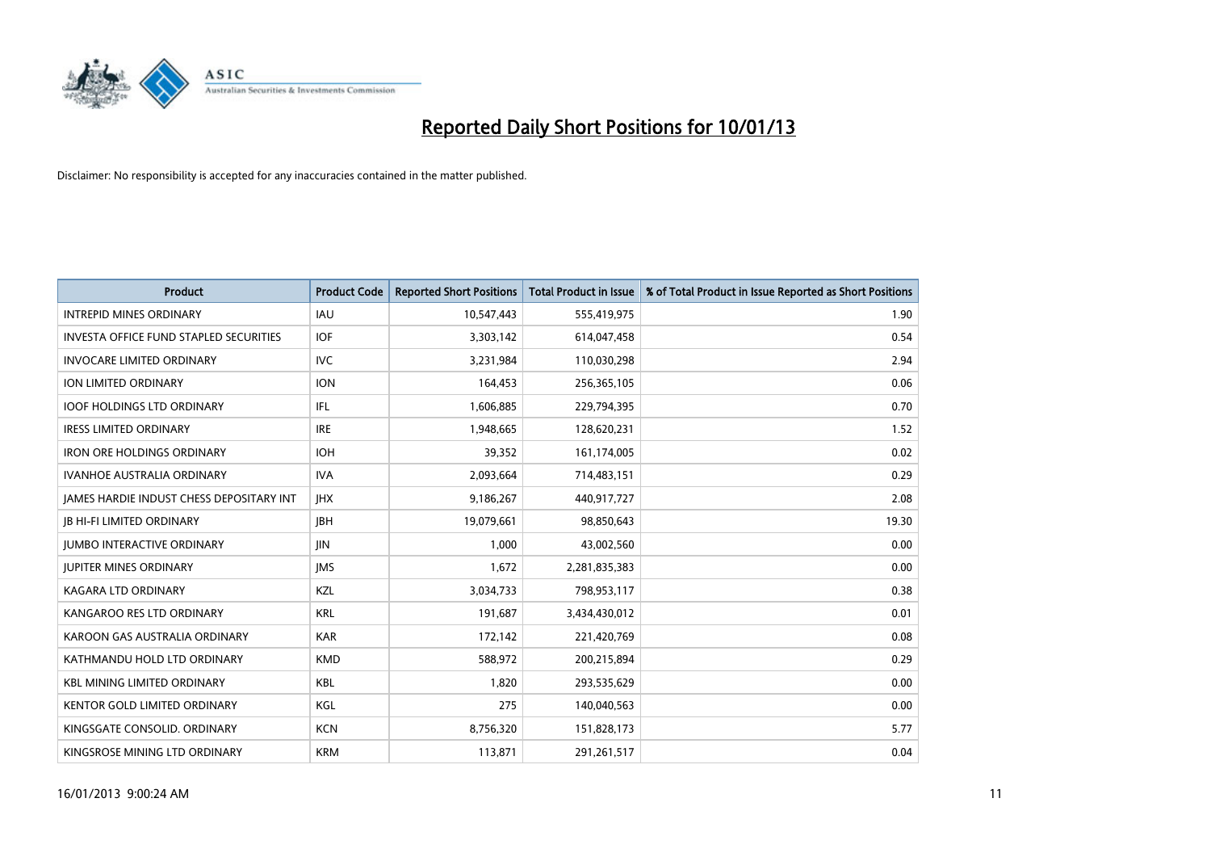

| <b>Product</b>                                  | <b>Product Code</b> | <b>Reported Short Positions</b> | <b>Total Product in Issue</b> | % of Total Product in Issue Reported as Short Positions |
|-------------------------------------------------|---------------------|---------------------------------|-------------------------------|---------------------------------------------------------|
| <b>INTREPID MINES ORDINARY</b>                  | <b>IAU</b>          | 10,547,443                      | 555,419,975                   | 1.90                                                    |
| <b>INVESTA OFFICE FUND STAPLED SECURITIES</b>   | <b>IOF</b>          | 3,303,142                       | 614,047,458                   | 0.54                                                    |
| <b>INVOCARE LIMITED ORDINARY</b>                | IVC                 | 3,231,984                       | 110,030,298                   | 2.94                                                    |
| <b>ION LIMITED ORDINARY</b>                     | <b>ION</b>          | 164,453                         | 256,365,105                   | 0.06                                                    |
| <b>IOOF HOLDINGS LTD ORDINARY</b>               | IFL.                | 1,606,885                       | 229,794,395                   | 0.70                                                    |
| <b>IRESS LIMITED ORDINARY</b>                   | <b>IRE</b>          | 1,948,665                       | 128,620,231                   | 1.52                                                    |
| <b>IRON ORE HOLDINGS ORDINARY</b>               | <b>IOH</b>          | 39,352                          | 161,174,005                   | 0.02                                                    |
| <b>IVANHOE AUSTRALIA ORDINARY</b>               | <b>IVA</b>          | 2,093,664                       | 714,483,151                   | 0.29                                                    |
| <b>JAMES HARDIE INDUST CHESS DEPOSITARY INT</b> | <b>IHX</b>          | 9,186,267                       | 440,917,727                   | 2.08                                                    |
| <b>IB HI-FI LIMITED ORDINARY</b>                | <b>IBH</b>          | 19,079,661                      | 98,850,643                    | 19.30                                                   |
| <b>JUMBO INTERACTIVE ORDINARY</b>               | JIN.                | 1,000                           | 43,002,560                    | 0.00                                                    |
| <b>JUPITER MINES ORDINARY</b>                   | <b>IMS</b>          | 1,672                           | 2,281,835,383                 | 0.00                                                    |
| <b>KAGARA LTD ORDINARY</b>                      | KZL                 | 3,034,733                       | 798,953,117                   | 0.38                                                    |
| KANGAROO RES LTD ORDINARY                       | <b>KRL</b>          | 191,687                         | 3,434,430,012                 | 0.01                                                    |
| KAROON GAS AUSTRALIA ORDINARY                   | <b>KAR</b>          | 172,142                         | 221,420,769                   | 0.08                                                    |
| KATHMANDU HOLD LTD ORDINARY                     | <b>KMD</b>          | 588,972                         | 200,215,894                   | 0.29                                                    |
| <b>KBL MINING LIMITED ORDINARY</b>              | <b>KBL</b>          | 1,820                           | 293,535,629                   | 0.00                                                    |
| <b>KENTOR GOLD LIMITED ORDINARY</b>             | KGL                 | 275                             | 140,040,563                   | 0.00                                                    |
| KINGSGATE CONSOLID. ORDINARY                    | <b>KCN</b>          | 8,756,320                       | 151,828,173                   | 5.77                                                    |
| KINGSROSE MINING LTD ORDINARY                   | <b>KRM</b>          | 113,871                         | 291,261,517                   | 0.04                                                    |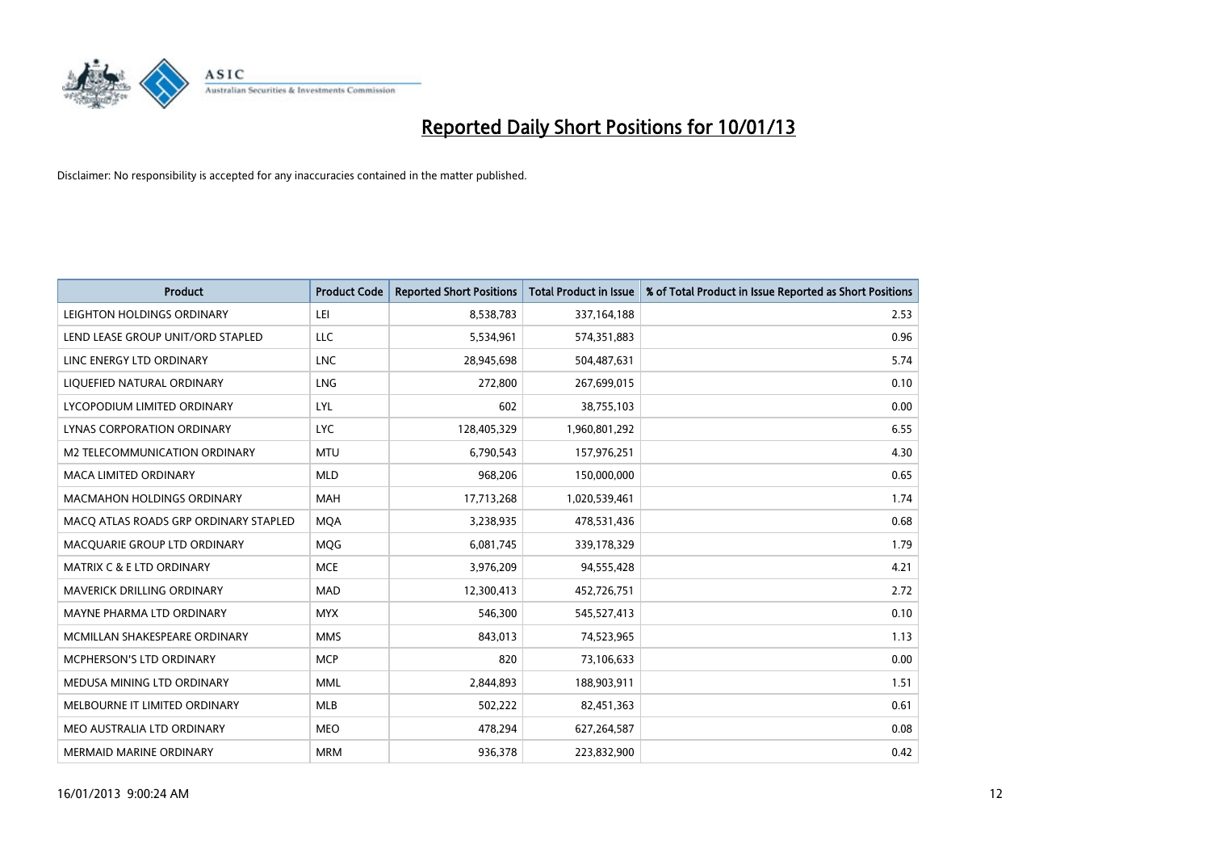

| <b>Product</b>                        | <b>Product Code</b> | <b>Reported Short Positions</b> | <b>Total Product in Issue</b> | % of Total Product in Issue Reported as Short Positions |
|---------------------------------------|---------------------|---------------------------------|-------------------------------|---------------------------------------------------------|
| LEIGHTON HOLDINGS ORDINARY            | LEI                 | 8,538,783                       | 337, 164, 188                 | 2.53                                                    |
| LEND LEASE GROUP UNIT/ORD STAPLED     | LLC                 | 5,534,961                       | 574,351,883                   | 0.96                                                    |
| LINC ENERGY LTD ORDINARY              | <b>LNC</b>          | 28,945,698                      | 504,487,631                   | 5.74                                                    |
| LIQUEFIED NATURAL ORDINARY            | <b>LNG</b>          | 272,800                         | 267,699,015                   | 0.10                                                    |
| LYCOPODIUM LIMITED ORDINARY           | LYL                 | 602                             | 38,755,103                    | 0.00                                                    |
| LYNAS CORPORATION ORDINARY            | <b>LYC</b>          | 128,405,329                     | 1,960,801,292                 | 6.55                                                    |
| M2 TELECOMMUNICATION ORDINARY         | <b>MTU</b>          | 6,790,543                       | 157,976,251                   | 4.30                                                    |
| MACA LIMITED ORDINARY                 | <b>MLD</b>          | 968,206                         | 150,000,000                   | 0.65                                                    |
| <b>MACMAHON HOLDINGS ORDINARY</b>     | <b>MAH</b>          | 17,713,268                      | 1,020,539,461                 | 1.74                                                    |
| MACO ATLAS ROADS GRP ORDINARY STAPLED | <b>MOA</b>          | 3,238,935                       | 478,531,436                   | 0.68                                                    |
| MACQUARIE GROUP LTD ORDINARY          | MQG                 | 6,081,745                       | 339,178,329                   | 1.79                                                    |
| MATRIX C & E LTD ORDINARY             | <b>MCE</b>          | 3,976,209                       | 94,555,428                    | 4.21                                                    |
| <b>MAVERICK DRILLING ORDINARY</b>     | <b>MAD</b>          | 12,300,413                      | 452,726,751                   | 2.72                                                    |
| MAYNE PHARMA LTD ORDINARY             | <b>MYX</b>          | 546,300                         | 545,527,413                   | 0.10                                                    |
| MCMILLAN SHAKESPEARE ORDINARY         | <b>MMS</b>          | 843,013                         | 74,523,965                    | 1.13                                                    |
| MCPHERSON'S LTD ORDINARY              | <b>MCP</b>          | 820                             | 73,106,633                    | 0.00                                                    |
| MEDUSA MINING LTD ORDINARY            | <b>MML</b>          | 2,844,893                       | 188,903,911                   | 1.51                                                    |
| MELBOURNE IT LIMITED ORDINARY         | <b>MLB</b>          | 502,222                         | 82,451,363                    | 0.61                                                    |
| MEO AUSTRALIA LTD ORDINARY            | <b>MEO</b>          | 478,294                         | 627,264,587                   | 0.08                                                    |
| <b>MERMAID MARINE ORDINARY</b>        | <b>MRM</b>          | 936,378                         | 223,832,900                   | 0.42                                                    |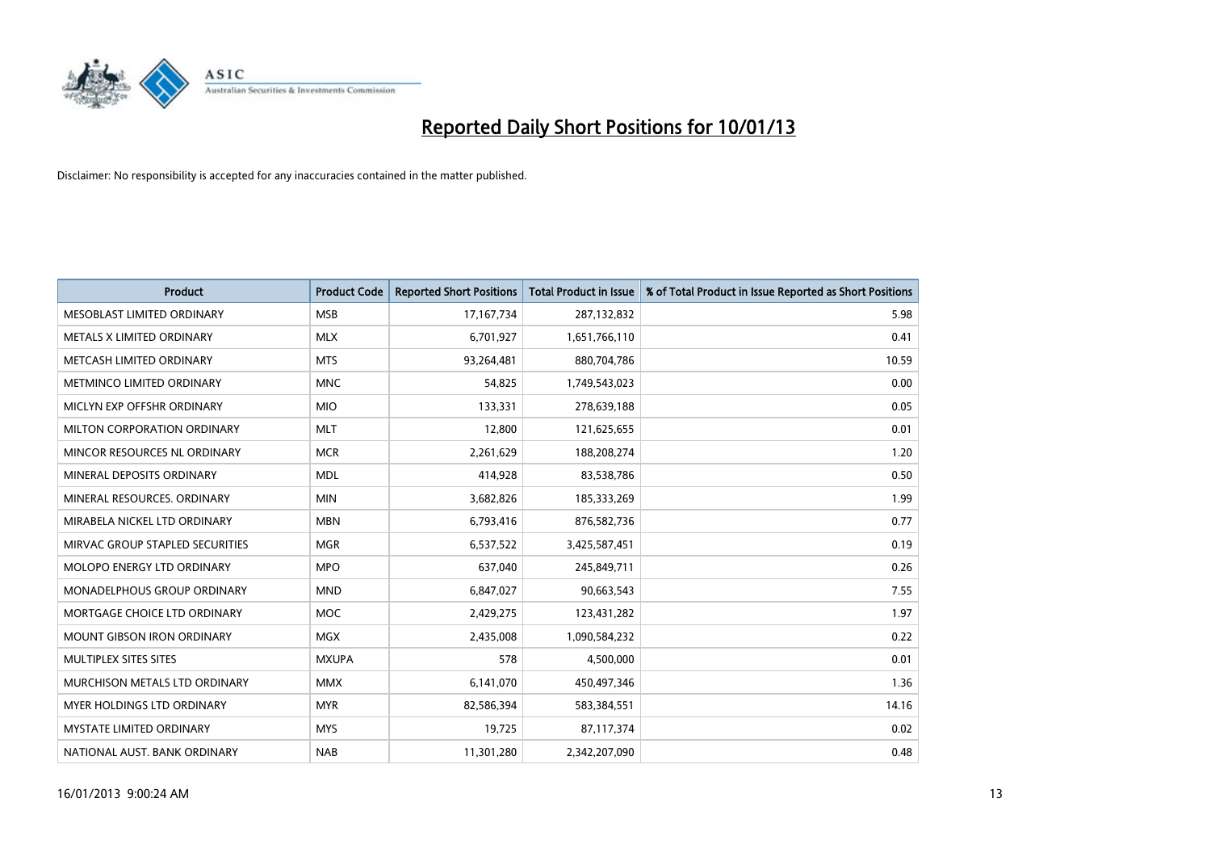

| <b>Product</b>                     | <b>Product Code</b> | <b>Reported Short Positions</b> | <b>Total Product in Issue</b> | % of Total Product in Issue Reported as Short Positions |
|------------------------------------|---------------------|---------------------------------|-------------------------------|---------------------------------------------------------|
| MESOBLAST LIMITED ORDINARY         | <b>MSB</b>          | 17,167,734                      | 287,132,832                   | 5.98                                                    |
| <b>METALS X LIMITED ORDINARY</b>   | <b>MLX</b>          | 6,701,927                       | 1,651,766,110                 | 0.41                                                    |
| METCASH LIMITED ORDINARY           | <b>MTS</b>          | 93,264,481                      | 880,704,786                   | 10.59                                                   |
| METMINCO LIMITED ORDINARY          | <b>MNC</b>          | 54,825                          | 1,749,543,023                 | 0.00                                                    |
| MICLYN EXP OFFSHR ORDINARY         | <b>MIO</b>          | 133,331                         | 278,639,188                   | 0.05                                                    |
| <b>MILTON CORPORATION ORDINARY</b> | <b>MLT</b>          | 12,800                          | 121,625,655                   | 0.01                                                    |
| MINCOR RESOURCES NL ORDINARY       | <b>MCR</b>          | 2,261,629                       | 188,208,274                   | 1.20                                                    |
| MINERAL DEPOSITS ORDINARY          | <b>MDL</b>          | 414,928                         | 83,538,786                    | 0.50                                                    |
| MINERAL RESOURCES, ORDINARY        | <b>MIN</b>          | 3,682,826                       | 185,333,269                   | 1.99                                                    |
| MIRABELA NICKEL LTD ORDINARY       | <b>MBN</b>          | 6,793,416                       | 876,582,736                   | 0.77                                                    |
| MIRVAC GROUP STAPLED SECURITIES    | <b>MGR</b>          | 6,537,522                       | 3,425,587,451                 | 0.19                                                    |
| <b>MOLOPO ENERGY LTD ORDINARY</b>  | <b>MPO</b>          | 637,040                         | 245,849,711                   | 0.26                                                    |
| <b>MONADELPHOUS GROUP ORDINARY</b> | <b>MND</b>          | 6,847,027                       | 90,663,543                    | 7.55                                                    |
| MORTGAGE CHOICE LTD ORDINARY       | <b>MOC</b>          | 2,429,275                       | 123,431,282                   | 1.97                                                    |
| <b>MOUNT GIBSON IRON ORDINARY</b>  | <b>MGX</b>          | 2,435,008                       | 1,090,584,232                 | 0.22                                                    |
| <b>MULTIPLEX SITES SITES</b>       | <b>MXUPA</b>        | 578                             | 4,500,000                     | 0.01                                                    |
| MURCHISON METALS LTD ORDINARY      | <b>MMX</b>          | 6,141,070                       | 450,497,346                   | 1.36                                                    |
| <b>MYER HOLDINGS LTD ORDINARY</b>  | <b>MYR</b>          | 82,586,394                      | 583,384,551                   | 14.16                                                   |
| <b>MYSTATE LIMITED ORDINARY</b>    | <b>MYS</b>          | 19,725                          | 87,117,374                    | 0.02                                                    |
| NATIONAL AUST. BANK ORDINARY       | <b>NAB</b>          | 11,301,280                      | 2,342,207,090                 | 0.48                                                    |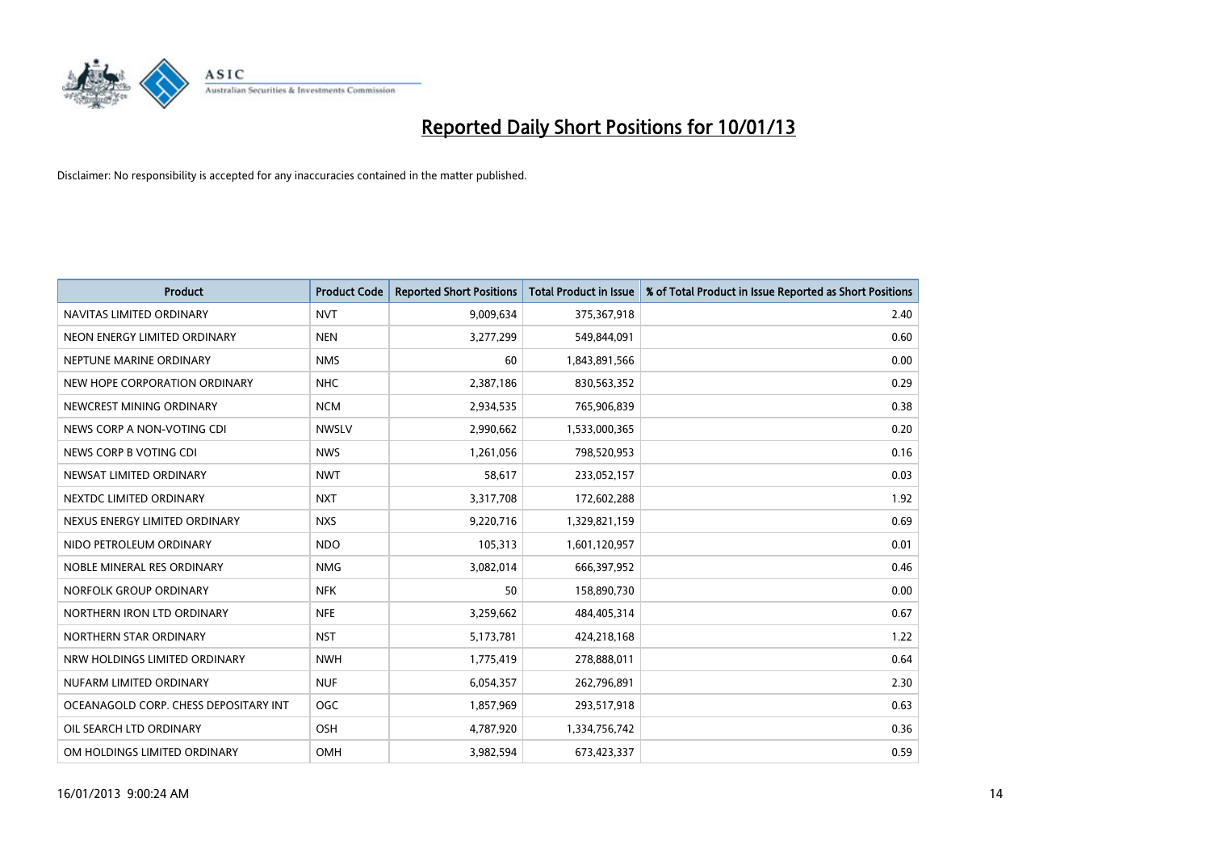

| <b>Product</b>                        | <b>Product Code</b> | <b>Reported Short Positions</b> | <b>Total Product in Issue</b> | % of Total Product in Issue Reported as Short Positions |
|---------------------------------------|---------------------|---------------------------------|-------------------------------|---------------------------------------------------------|
| NAVITAS LIMITED ORDINARY              | <b>NVT</b>          | 9,009,634                       | 375,367,918                   | 2.40                                                    |
| NEON ENERGY LIMITED ORDINARY          | <b>NEN</b>          | 3,277,299                       | 549,844,091                   | 0.60                                                    |
| NEPTUNE MARINE ORDINARY               | <b>NMS</b>          | 60                              | 1,843,891,566                 | 0.00                                                    |
| NEW HOPE CORPORATION ORDINARY         | <b>NHC</b>          | 2,387,186                       | 830,563,352                   | 0.29                                                    |
| NEWCREST MINING ORDINARY              | <b>NCM</b>          | 2,934,535                       | 765,906,839                   | 0.38                                                    |
| NEWS CORP A NON-VOTING CDI            | <b>NWSLV</b>        | 2,990,662                       | 1,533,000,365                 | 0.20                                                    |
| NEWS CORP B VOTING CDI                | <b>NWS</b>          | 1,261,056                       | 798,520,953                   | 0.16                                                    |
| NEWSAT LIMITED ORDINARY               | <b>NWT</b>          | 58,617                          | 233,052,157                   | 0.03                                                    |
| NEXTDC LIMITED ORDINARY               | <b>NXT</b>          | 3,317,708                       | 172,602,288                   | 1.92                                                    |
| NEXUS ENERGY LIMITED ORDINARY         | <b>NXS</b>          | 9,220,716                       | 1,329,821,159                 | 0.69                                                    |
| NIDO PETROLEUM ORDINARY               | <b>NDO</b>          | 105,313                         | 1,601,120,957                 | 0.01                                                    |
| NOBLE MINERAL RES ORDINARY            | <b>NMG</b>          | 3,082,014                       | 666,397,952                   | 0.46                                                    |
| NORFOLK GROUP ORDINARY                | <b>NFK</b>          | 50                              | 158,890,730                   | 0.00                                                    |
| NORTHERN IRON LTD ORDINARY            | <b>NFE</b>          | 3,259,662                       | 484,405,314                   | 0.67                                                    |
| NORTHERN STAR ORDINARY                | <b>NST</b>          | 5,173,781                       | 424,218,168                   | 1.22                                                    |
| NRW HOLDINGS LIMITED ORDINARY         | <b>NWH</b>          | 1,775,419                       | 278,888,011                   | 0.64                                                    |
| NUFARM LIMITED ORDINARY               | <b>NUF</b>          | 6,054,357                       | 262,796,891                   | 2.30                                                    |
| OCEANAGOLD CORP. CHESS DEPOSITARY INT | <b>OGC</b>          | 1,857,969                       | 293,517,918                   | 0.63                                                    |
| OIL SEARCH LTD ORDINARY               | OSH                 | 4,787,920                       | 1,334,756,742                 | 0.36                                                    |
| OM HOLDINGS LIMITED ORDINARY          | OMH                 | 3.982.594                       | 673,423,337                   | 0.59                                                    |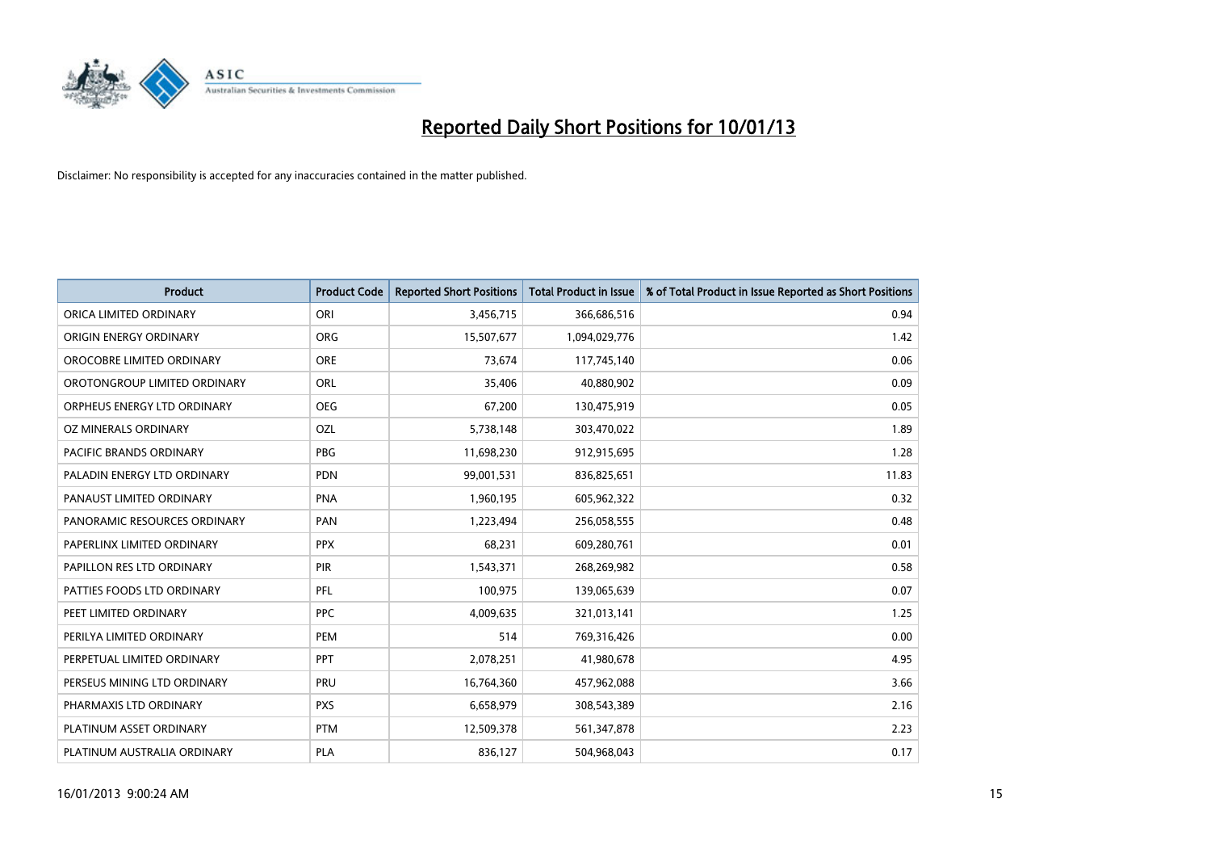

| <b>Product</b>               | <b>Product Code</b> | <b>Reported Short Positions</b> | <b>Total Product in Issue</b> | % of Total Product in Issue Reported as Short Positions |
|------------------------------|---------------------|---------------------------------|-------------------------------|---------------------------------------------------------|
| ORICA LIMITED ORDINARY       | ORI                 | 3,456,715                       | 366,686,516                   | 0.94                                                    |
| ORIGIN ENERGY ORDINARY       | <b>ORG</b>          | 15,507,677                      | 1,094,029,776                 | 1.42                                                    |
| OROCOBRE LIMITED ORDINARY    | <b>ORE</b>          | 73,674                          | 117,745,140                   | 0.06                                                    |
| OROTONGROUP LIMITED ORDINARY | <b>ORL</b>          | 35,406                          | 40,880,902                    | 0.09                                                    |
| ORPHEUS ENERGY LTD ORDINARY  | <b>OEG</b>          | 67,200                          | 130,475,919                   | 0.05                                                    |
| OZ MINERALS ORDINARY         | OZL                 | 5,738,148                       | 303,470,022                   | 1.89                                                    |
| PACIFIC BRANDS ORDINARY      | <b>PBG</b>          | 11,698,230                      | 912,915,695                   | 1.28                                                    |
| PALADIN ENERGY LTD ORDINARY  | <b>PDN</b>          | 99,001,531                      | 836,825,651                   | 11.83                                                   |
| PANAUST LIMITED ORDINARY     | <b>PNA</b>          | 1,960,195                       | 605,962,322                   | 0.32                                                    |
| PANORAMIC RESOURCES ORDINARY | PAN                 | 1,223,494                       | 256,058,555                   | 0.48                                                    |
| PAPERLINX LIMITED ORDINARY   | <b>PPX</b>          | 68,231                          | 609,280,761                   | 0.01                                                    |
| PAPILLON RES LTD ORDINARY    | <b>PIR</b>          | 1,543,371                       | 268,269,982                   | 0.58                                                    |
| PATTIES FOODS LTD ORDINARY   | PFL                 | 100,975                         | 139,065,639                   | 0.07                                                    |
| PEET LIMITED ORDINARY        | <b>PPC</b>          | 4,009,635                       | 321,013,141                   | 1.25                                                    |
| PERILYA LIMITED ORDINARY     | PEM                 | 514                             | 769,316,426                   | 0.00                                                    |
| PERPETUAL LIMITED ORDINARY   | <b>PPT</b>          | 2,078,251                       | 41,980,678                    | 4.95                                                    |
| PERSEUS MINING LTD ORDINARY  | PRU                 | 16,764,360                      | 457,962,088                   | 3.66                                                    |
| PHARMAXIS LTD ORDINARY       | <b>PXS</b>          | 6,658,979                       | 308,543,389                   | 2.16                                                    |
| PLATINUM ASSET ORDINARY      | <b>PTM</b>          | 12,509,378                      | 561,347,878                   | 2.23                                                    |
| PLATINUM AUSTRALIA ORDINARY  | <b>PLA</b>          | 836,127                         | 504,968,043                   | 0.17                                                    |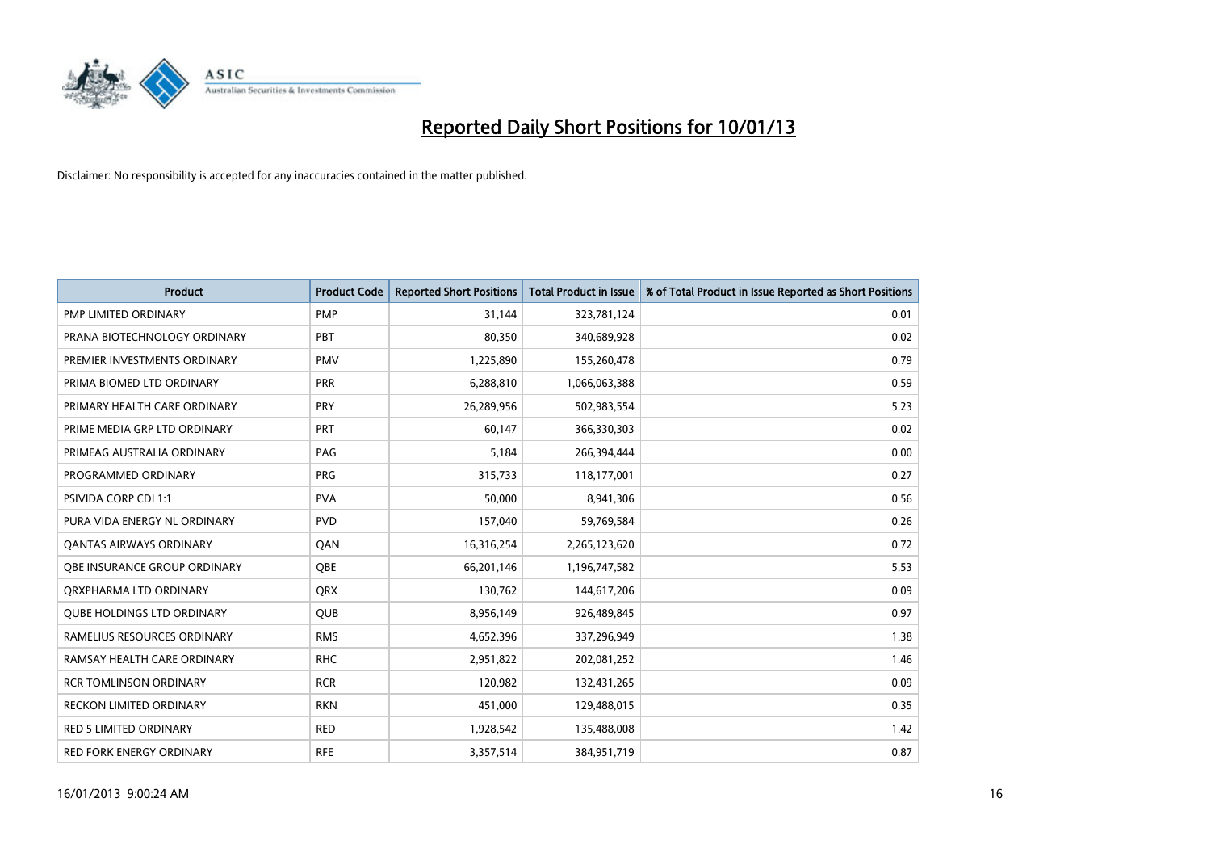

| <b>Product</b>                    | <b>Product Code</b> | <b>Reported Short Positions</b> | <b>Total Product in Issue</b> | % of Total Product in Issue Reported as Short Positions |
|-----------------------------------|---------------------|---------------------------------|-------------------------------|---------------------------------------------------------|
| PMP LIMITED ORDINARY              | <b>PMP</b>          | 31,144                          | 323,781,124                   | 0.01                                                    |
| PRANA BIOTECHNOLOGY ORDINARY      | PBT                 | 80,350                          | 340,689,928                   | 0.02                                                    |
| PREMIER INVESTMENTS ORDINARY      | <b>PMV</b>          | 1,225,890                       | 155,260,478                   | 0.79                                                    |
| PRIMA BIOMED LTD ORDINARY         | <b>PRR</b>          | 6,288,810                       | 1,066,063,388                 | 0.59                                                    |
| PRIMARY HEALTH CARE ORDINARY      | PRY                 | 26,289,956                      | 502,983,554                   | 5.23                                                    |
| PRIME MEDIA GRP LTD ORDINARY      | <b>PRT</b>          | 60,147                          | 366,330,303                   | 0.02                                                    |
| PRIMEAG AUSTRALIA ORDINARY        | PAG                 | 5.184                           | 266,394,444                   | 0.00                                                    |
| PROGRAMMED ORDINARY               | PRG                 | 315,733                         | 118,177,001                   | 0.27                                                    |
| PSIVIDA CORP CDI 1:1              | <b>PVA</b>          | 50,000                          | 8,941,306                     | 0.56                                                    |
| PURA VIDA ENERGY NL ORDINARY      | <b>PVD</b>          | 157,040                         | 59,769,584                    | 0.26                                                    |
| <b>QANTAS AIRWAYS ORDINARY</b>    | QAN                 | 16,316,254                      | 2,265,123,620                 | 0.72                                                    |
| OBE INSURANCE GROUP ORDINARY      | <b>OBE</b>          | 66,201,146                      | 1,196,747,582                 | 5.53                                                    |
| ORXPHARMA LTD ORDINARY            | <b>QRX</b>          | 130,762                         | 144,617,206                   | 0.09                                                    |
| <b>QUBE HOLDINGS LTD ORDINARY</b> | <b>OUB</b>          | 8,956,149                       | 926,489,845                   | 0.97                                                    |
| RAMELIUS RESOURCES ORDINARY       | <b>RMS</b>          | 4,652,396                       | 337,296,949                   | 1.38                                                    |
| RAMSAY HEALTH CARE ORDINARY       | <b>RHC</b>          | 2,951,822                       | 202,081,252                   | 1.46                                                    |
| <b>RCR TOMLINSON ORDINARY</b>     | <b>RCR</b>          | 120,982                         | 132,431,265                   | 0.09                                                    |
| <b>RECKON LIMITED ORDINARY</b>    | <b>RKN</b>          | 451,000                         | 129,488,015                   | 0.35                                                    |
| <b>RED 5 LIMITED ORDINARY</b>     | <b>RED</b>          | 1,928,542                       | 135,488,008                   | 1.42                                                    |
| <b>RED FORK ENERGY ORDINARY</b>   | <b>RFE</b>          | 3,357,514                       | 384,951,719                   | 0.87                                                    |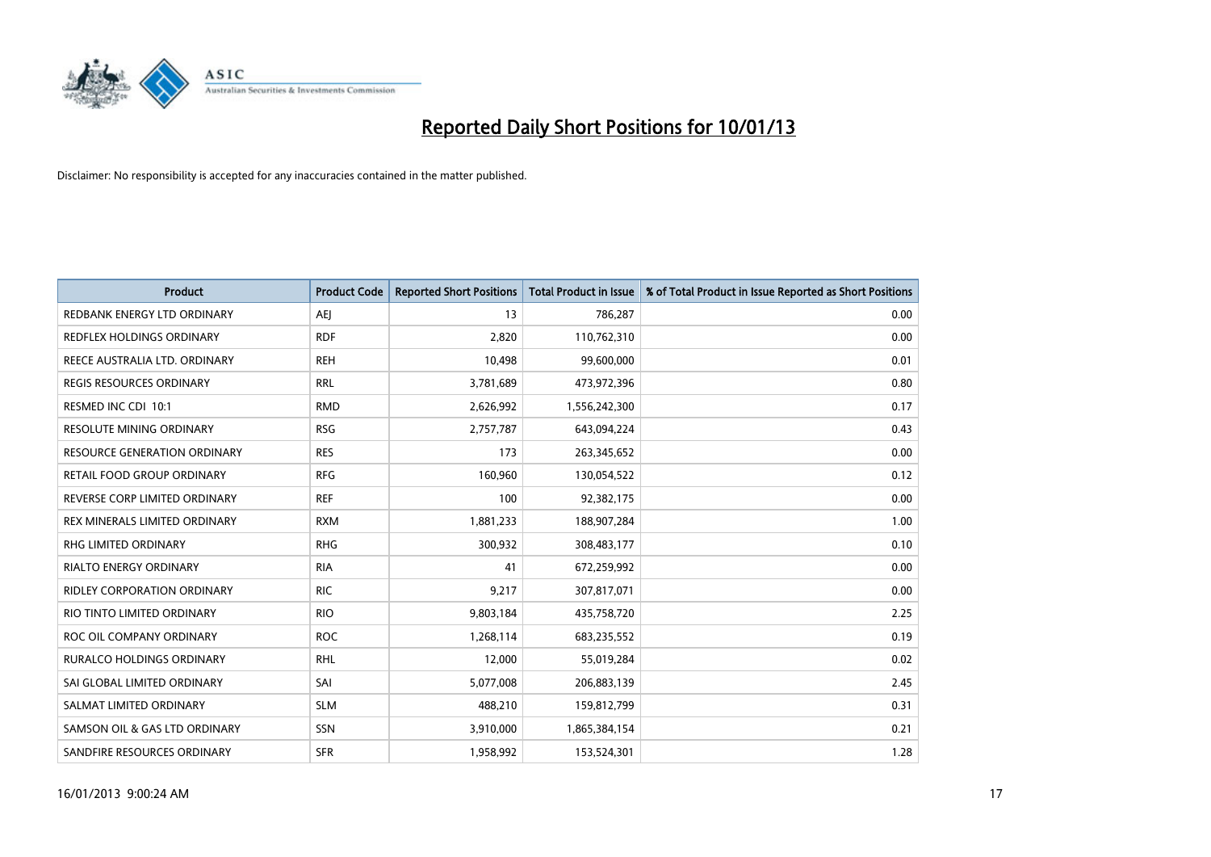

| <b>Product</b>                      | <b>Product Code</b> | <b>Reported Short Positions</b> | <b>Total Product in Issue</b> | % of Total Product in Issue Reported as Short Positions |
|-------------------------------------|---------------------|---------------------------------|-------------------------------|---------------------------------------------------------|
| REDBANK ENERGY LTD ORDINARY         | AEI                 | 13                              | 786,287                       | 0.00                                                    |
| REDFLEX HOLDINGS ORDINARY           | <b>RDF</b>          | 2,820                           | 110,762,310                   | 0.00                                                    |
| REECE AUSTRALIA LTD. ORDINARY       | <b>REH</b>          | 10,498                          | 99,600,000                    | 0.01                                                    |
| <b>REGIS RESOURCES ORDINARY</b>     | <b>RRL</b>          | 3,781,689                       | 473,972,396                   | 0.80                                                    |
| RESMED INC CDI 10:1                 | <b>RMD</b>          | 2,626,992                       | 1,556,242,300                 | 0.17                                                    |
| RESOLUTE MINING ORDINARY            | <b>RSG</b>          | 2,757,787                       | 643,094,224                   | 0.43                                                    |
| <b>RESOURCE GENERATION ORDINARY</b> | <b>RES</b>          | 173                             | 263,345,652                   | 0.00                                                    |
| RETAIL FOOD GROUP ORDINARY          | <b>RFG</b>          | 160,960                         | 130,054,522                   | 0.12                                                    |
| REVERSE CORP LIMITED ORDINARY       | <b>REF</b>          | 100                             | 92,382,175                    | 0.00                                                    |
| REX MINERALS LIMITED ORDINARY       | <b>RXM</b>          | 1,881,233                       | 188,907,284                   | 1.00                                                    |
| RHG LIMITED ORDINARY                | <b>RHG</b>          | 300,932                         | 308,483,177                   | 0.10                                                    |
| RIALTO ENERGY ORDINARY              | <b>RIA</b>          | 41                              | 672,259,992                   | 0.00                                                    |
| <b>RIDLEY CORPORATION ORDINARY</b>  | <b>RIC</b>          | 9,217                           | 307,817,071                   | 0.00                                                    |
| RIO TINTO LIMITED ORDINARY          | <b>RIO</b>          | 9,803,184                       | 435,758,720                   | 2.25                                                    |
| ROC OIL COMPANY ORDINARY            | <b>ROC</b>          | 1,268,114                       | 683,235,552                   | 0.19                                                    |
| <b>RURALCO HOLDINGS ORDINARY</b>    | <b>RHL</b>          | 12,000                          | 55,019,284                    | 0.02                                                    |
| SAI GLOBAL LIMITED ORDINARY         | SAI                 | 5,077,008                       | 206,883,139                   | 2.45                                                    |
| SALMAT LIMITED ORDINARY             | <b>SLM</b>          | 488,210                         | 159,812,799                   | 0.31                                                    |
| SAMSON OIL & GAS LTD ORDINARY       | SSN                 | 3,910,000                       | 1,865,384,154                 | 0.21                                                    |
| SANDFIRE RESOURCES ORDINARY         | <b>SFR</b>          | 1,958,992                       | 153,524,301                   | 1.28                                                    |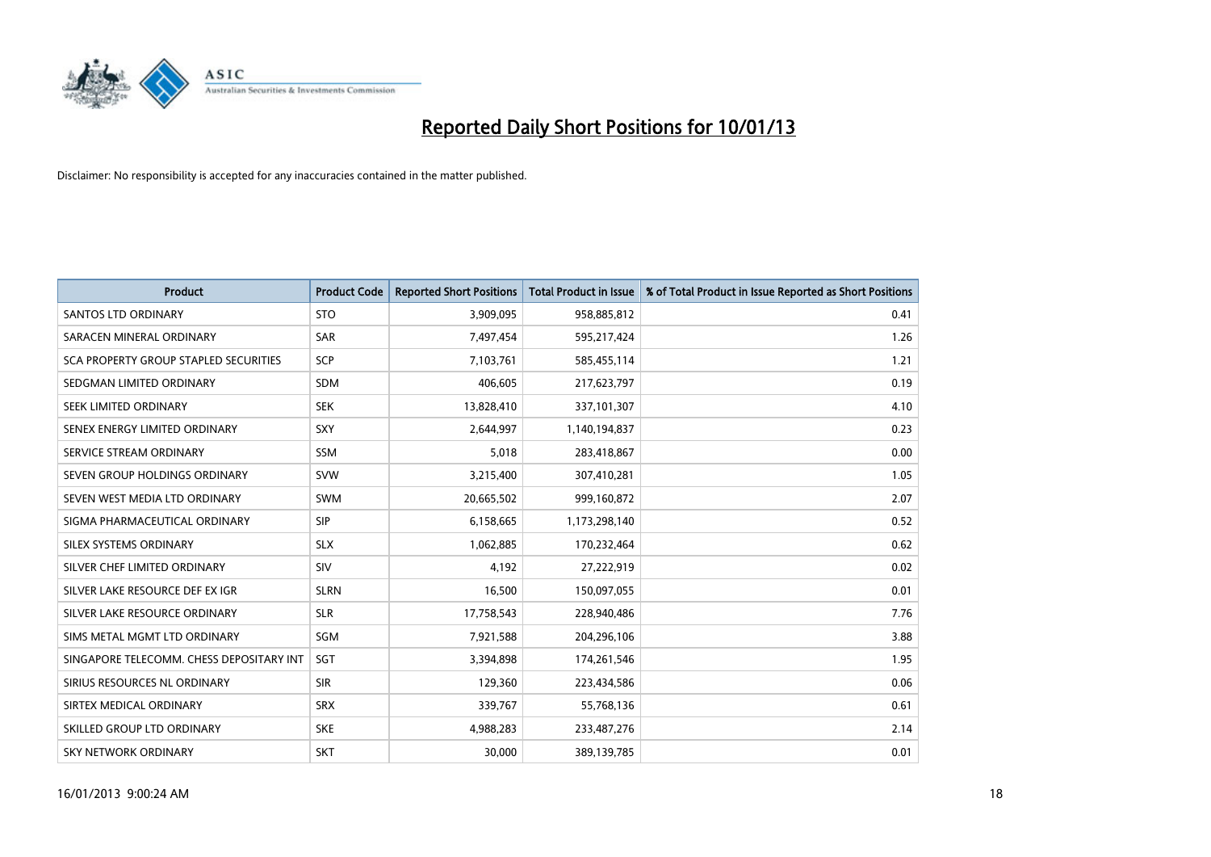

| <b>Product</b>                               | <b>Product Code</b> | <b>Reported Short Positions</b> | <b>Total Product in Issue</b> | % of Total Product in Issue Reported as Short Positions |
|----------------------------------------------|---------------------|---------------------------------|-------------------------------|---------------------------------------------------------|
| <b>SANTOS LTD ORDINARY</b>                   | <b>STO</b>          | 3,909,095                       | 958,885,812                   | 0.41                                                    |
| SARACEN MINERAL ORDINARY                     | <b>SAR</b>          | 7,497,454                       | 595,217,424                   | 1.26                                                    |
| <b>SCA PROPERTY GROUP STAPLED SECURITIES</b> | SCP                 | 7,103,761                       | 585,455,114                   | 1.21                                                    |
| SEDGMAN LIMITED ORDINARY                     | <b>SDM</b>          | 406,605                         | 217,623,797                   | 0.19                                                    |
| <b>SEEK LIMITED ORDINARY</b>                 | <b>SEK</b>          | 13,828,410                      | 337,101,307                   | 4.10                                                    |
| SENEX ENERGY LIMITED ORDINARY                | SXY                 | 2,644,997                       | 1,140,194,837                 | 0.23                                                    |
| SERVICE STREAM ORDINARY                      | <b>SSM</b>          | 5,018                           | 283,418,867                   | 0.00                                                    |
| SEVEN GROUP HOLDINGS ORDINARY                | <b>SVW</b>          | 3,215,400                       | 307,410,281                   | 1.05                                                    |
| SEVEN WEST MEDIA LTD ORDINARY                | <b>SWM</b>          | 20,665,502                      | 999,160,872                   | 2.07                                                    |
| SIGMA PHARMACEUTICAL ORDINARY                | <b>SIP</b>          | 6,158,665                       | 1,173,298,140                 | 0.52                                                    |
| SILEX SYSTEMS ORDINARY                       | <b>SLX</b>          | 1,062,885                       | 170,232,464                   | 0.62                                                    |
| SILVER CHEF LIMITED ORDINARY                 | SIV                 | 4,192                           | 27,222,919                    | 0.02                                                    |
| SILVER LAKE RESOURCE DEF EX IGR              | <b>SLRN</b>         | 16,500                          | 150,097,055                   | 0.01                                                    |
| SILVER LAKE RESOURCE ORDINARY                | <b>SLR</b>          | 17,758,543                      | 228,940,486                   | 7.76                                                    |
| SIMS METAL MGMT LTD ORDINARY                 | SGM                 | 7,921,588                       | 204,296,106                   | 3.88                                                    |
| SINGAPORE TELECOMM. CHESS DEPOSITARY INT     | <b>SGT</b>          | 3,394,898                       | 174,261,546                   | 1.95                                                    |
| SIRIUS RESOURCES NL ORDINARY                 | <b>SIR</b>          | 129,360                         | 223,434,586                   | 0.06                                                    |
| SIRTEX MEDICAL ORDINARY                      | <b>SRX</b>          | 339,767                         | 55,768,136                    | 0.61                                                    |
| SKILLED GROUP LTD ORDINARY                   | <b>SKE</b>          | 4,988,283                       | 233,487,276                   | 2.14                                                    |
| SKY NETWORK ORDINARY                         | <b>SKT</b>          | 30,000                          | 389,139,785                   | 0.01                                                    |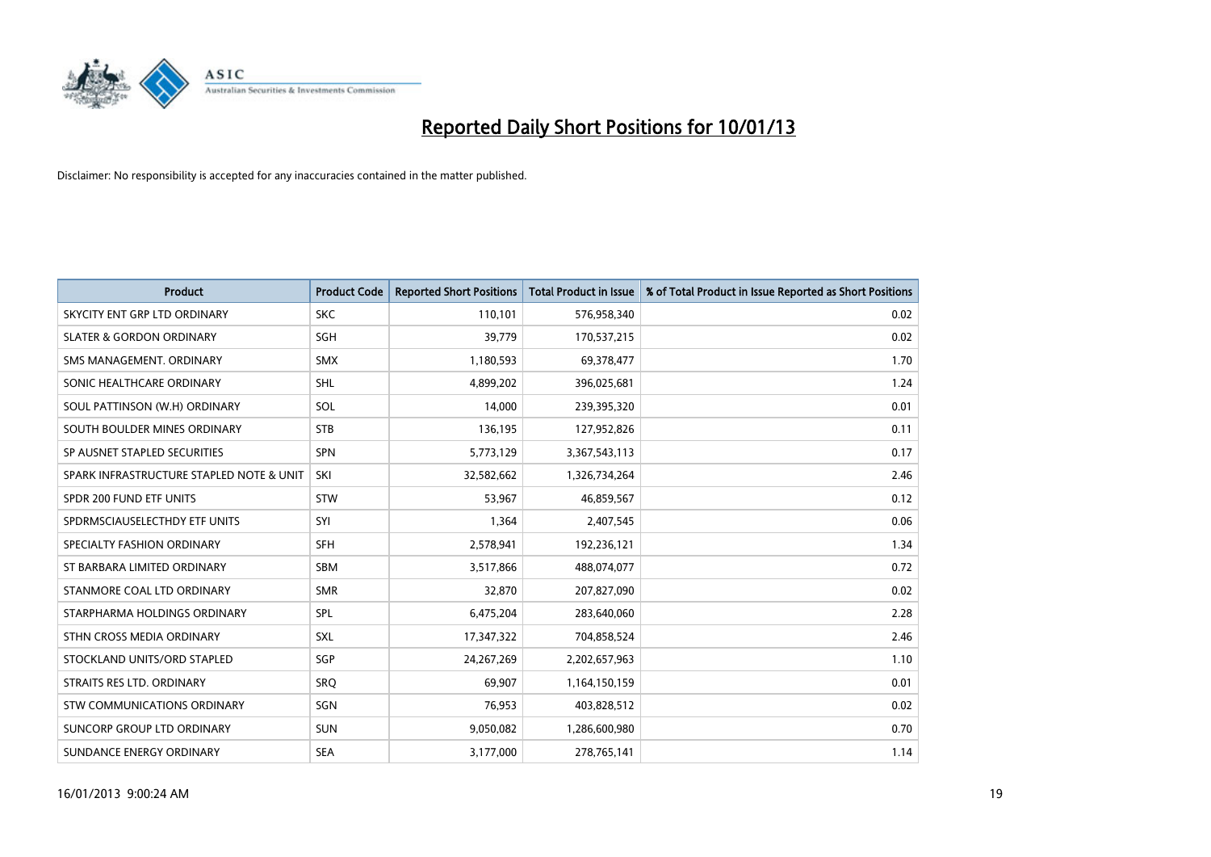

| <b>Product</b>                           | <b>Product Code</b> | <b>Reported Short Positions</b> | <b>Total Product in Issue</b> | % of Total Product in Issue Reported as Short Positions |
|------------------------------------------|---------------------|---------------------------------|-------------------------------|---------------------------------------------------------|
| SKYCITY ENT GRP LTD ORDINARY             | <b>SKC</b>          | 110,101                         | 576,958,340                   | 0.02                                                    |
| <b>SLATER &amp; GORDON ORDINARY</b>      | <b>SGH</b>          | 39,779                          | 170,537,215                   | 0.02                                                    |
| SMS MANAGEMENT, ORDINARY                 | <b>SMX</b>          | 1,180,593                       | 69,378,477                    | 1.70                                                    |
| SONIC HEALTHCARE ORDINARY                | <b>SHL</b>          | 4,899,202                       | 396,025,681                   | 1.24                                                    |
| SOUL PATTINSON (W.H) ORDINARY            | SOL                 | 14,000                          | 239,395,320                   | 0.01                                                    |
| SOUTH BOULDER MINES ORDINARY             | <b>STB</b>          | 136,195                         | 127,952,826                   | 0.11                                                    |
| SP AUSNET STAPLED SECURITIES             | <b>SPN</b>          | 5,773,129                       | 3,367,543,113                 | 0.17                                                    |
| SPARK INFRASTRUCTURE STAPLED NOTE & UNIT | SKI                 | 32,582,662                      | 1,326,734,264                 | 2.46                                                    |
| SPDR 200 FUND ETF UNITS                  | <b>STW</b>          | 53,967                          | 46,859,567                    | 0.12                                                    |
| SPDRMSCIAUSELECTHDY ETF UNITS            | SYI                 | 1,364                           | 2,407,545                     | 0.06                                                    |
| SPECIALTY FASHION ORDINARY               | <b>SFH</b>          | 2,578,941                       | 192,236,121                   | 1.34                                                    |
| ST BARBARA LIMITED ORDINARY              | <b>SBM</b>          | 3,517,866                       | 488,074,077                   | 0.72                                                    |
| STANMORE COAL LTD ORDINARY               | <b>SMR</b>          | 32,870                          | 207,827,090                   | 0.02                                                    |
| STARPHARMA HOLDINGS ORDINARY             | SPL                 | 6,475,204                       | 283,640,060                   | 2.28                                                    |
| STHN CROSS MEDIA ORDINARY                | <b>SXL</b>          | 17,347,322                      | 704,858,524                   | 2.46                                                    |
| STOCKLAND UNITS/ORD STAPLED              | <b>SGP</b>          | 24, 267, 269                    | 2,202,657,963                 | 1.10                                                    |
| STRAITS RES LTD. ORDINARY                | SRO                 | 69,907                          | 1,164,150,159                 | 0.01                                                    |
| STW COMMUNICATIONS ORDINARY              | SGN                 | 76,953                          | 403,828,512                   | 0.02                                                    |
| SUNCORP GROUP LTD ORDINARY               | <b>SUN</b>          | 9,050,082                       | 1,286,600,980                 | 0.70                                                    |
| SUNDANCE ENERGY ORDINARY                 | <b>SEA</b>          | 3,177,000                       | 278,765,141                   | 1.14                                                    |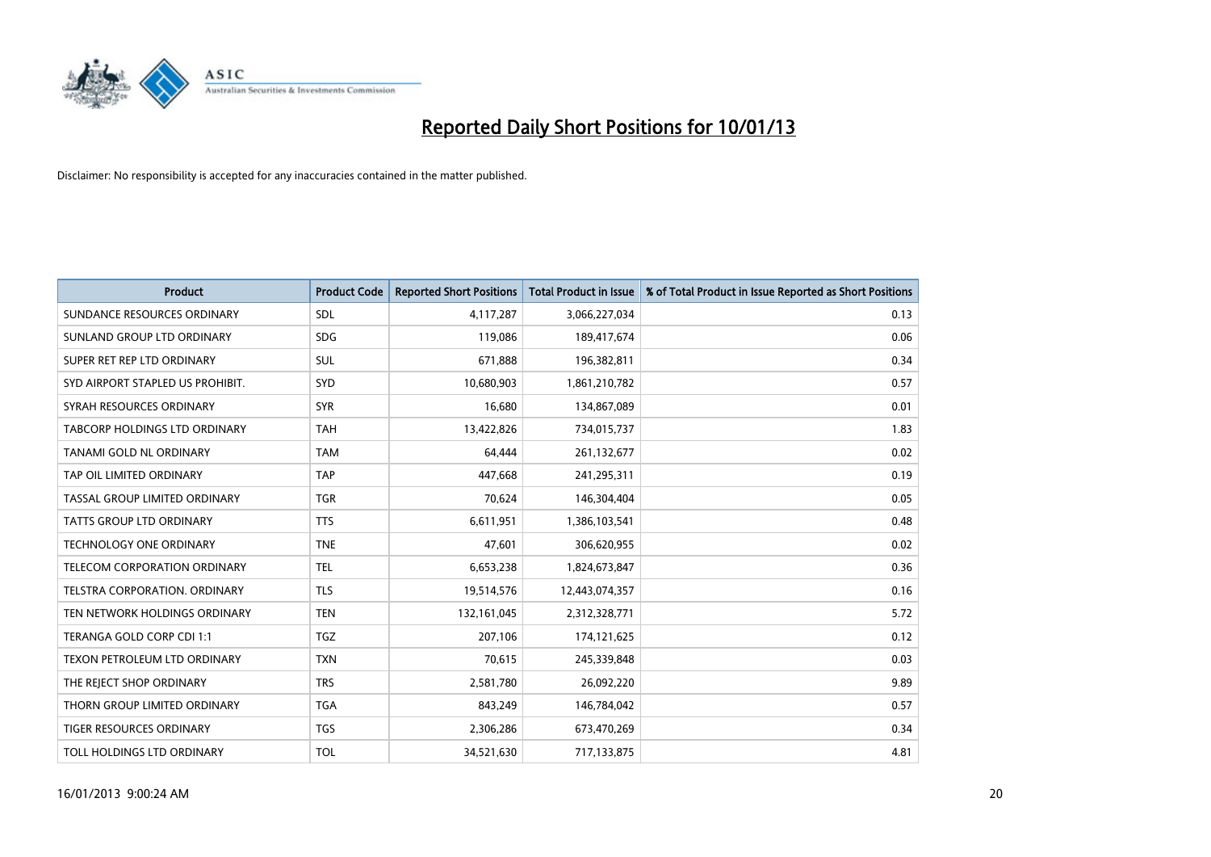

| <b>Product</b>                       | <b>Product Code</b> | <b>Reported Short Positions</b> | <b>Total Product in Issue</b> | % of Total Product in Issue Reported as Short Positions |
|--------------------------------------|---------------------|---------------------------------|-------------------------------|---------------------------------------------------------|
| SUNDANCE RESOURCES ORDINARY          | <b>SDL</b>          | 4,117,287                       | 3,066,227,034                 | 0.13                                                    |
| SUNLAND GROUP LTD ORDINARY           | <b>SDG</b>          | 119,086                         | 189,417,674                   | 0.06                                                    |
| SUPER RET REP LTD ORDINARY           | <b>SUL</b>          | 671,888                         | 196,382,811                   | 0.34                                                    |
| SYD AIRPORT STAPLED US PROHIBIT.     | <b>SYD</b>          | 10,680,903                      | 1,861,210,782                 | 0.57                                                    |
| SYRAH RESOURCES ORDINARY             | <b>SYR</b>          | 16,680                          | 134,867,089                   | 0.01                                                    |
| <b>TABCORP HOLDINGS LTD ORDINARY</b> | <b>TAH</b>          | 13,422,826                      | 734,015,737                   | 1.83                                                    |
| TANAMI GOLD NL ORDINARY              | <b>TAM</b>          | 64,444                          | 261,132,677                   | 0.02                                                    |
| TAP OIL LIMITED ORDINARY             | <b>TAP</b>          | 447,668                         | 241,295,311                   | 0.19                                                    |
| TASSAL GROUP LIMITED ORDINARY        | <b>TGR</b>          | 70,624                          | 146,304,404                   | 0.05                                                    |
| TATTS GROUP LTD ORDINARY             | <b>TTS</b>          | 6,611,951                       | 1,386,103,541                 | 0.48                                                    |
| <b>TECHNOLOGY ONE ORDINARY</b>       | <b>TNE</b>          | 47,601                          | 306,620,955                   | 0.02                                                    |
| TELECOM CORPORATION ORDINARY         | <b>TEL</b>          | 6,653,238                       | 1,824,673,847                 | 0.36                                                    |
| <b>TELSTRA CORPORATION, ORDINARY</b> | <b>TLS</b>          | 19,514,576                      | 12,443,074,357                | 0.16                                                    |
| TEN NETWORK HOLDINGS ORDINARY        | <b>TEN</b>          | 132,161,045                     | 2,312,328,771                 | 5.72                                                    |
| TERANGA GOLD CORP CDI 1:1            | <b>TGZ</b>          | 207,106                         | 174,121,625                   | 0.12                                                    |
| TEXON PETROLEUM LTD ORDINARY         | <b>TXN</b>          | 70,615                          | 245,339,848                   | 0.03                                                    |
| THE REJECT SHOP ORDINARY             | <b>TRS</b>          | 2,581,780                       | 26,092,220                    | 9.89                                                    |
| THORN GROUP LIMITED ORDINARY         | <b>TGA</b>          | 843,249                         | 146,784,042                   | 0.57                                                    |
| TIGER RESOURCES ORDINARY             | <b>TGS</b>          | 2,306,286                       | 673,470,269                   | 0.34                                                    |
| TOLL HOLDINGS LTD ORDINARY           | <b>TOL</b>          | 34,521,630                      | 717,133,875                   | 4.81                                                    |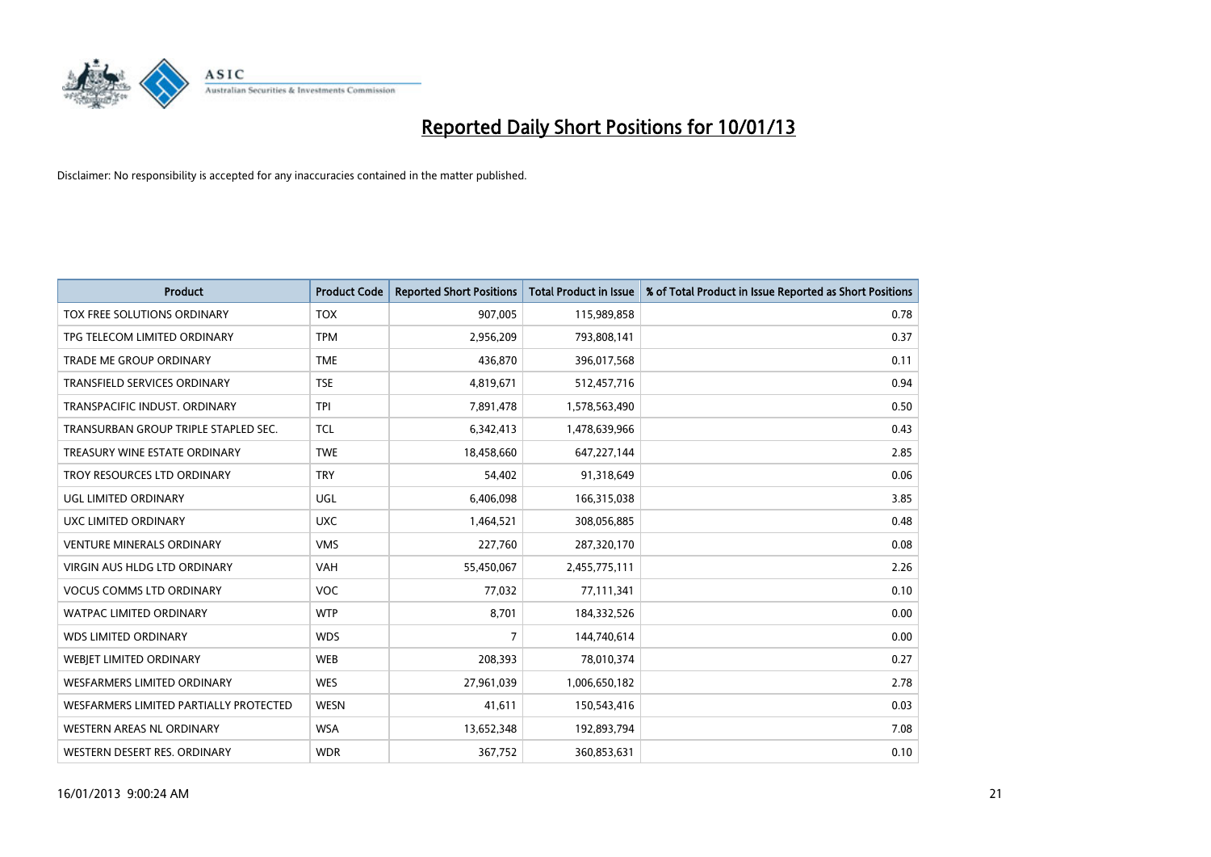

| <b>Product</b>                         | <b>Product Code</b> | <b>Reported Short Positions</b> | <b>Total Product in Issue</b> | % of Total Product in Issue Reported as Short Positions |
|----------------------------------------|---------------------|---------------------------------|-------------------------------|---------------------------------------------------------|
| <b>TOX FREE SOLUTIONS ORDINARY</b>     | <b>TOX</b>          | 907,005                         | 115,989,858                   | 0.78                                                    |
| TPG TELECOM LIMITED ORDINARY           | <b>TPM</b>          | 2,956,209                       | 793,808,141                   | 0.37                                                    |
| TRADE ME GROUP ORDINARY                | <b>TME</b>          | 436,870                         | 396,017,568                   | 0.11                                                    |
| TRANSFIELD SERVICES ORDINARY           | <b>TSE</b>          | 4,819,671                       | 512,457,716                   | 0.94                                                    |
| TRANSPACIFIC INDUST, ORDINARY          | <b>TPI</b>          | 7,891,478                       | 1,578,563,490                 | 0.50                                                    |
| TRANSURBAN GROUP TRIPLE STAPLED SEC.   | <b>TCL</b>          | 6,342,413                       | 1,478,639,966                 | 0.43                                                    |
| TREASURY WINE ESTATE ORDINARY          | <b>TWE</b>          | 18,458,660                      | 647,227,144                   | 2.85                                                    |
| TROY RESOURCES LTD ORDINARY            | <b>TRY</b>          | 54,402                          | 91,318,649                    | 0.06                                                    |
| UGL LIMITED ORDINARY                   | UGL                 | 6,406,098                       | 166,315,038                   | 3.85                                                    |
| UXC LIMITED ORDINARY                   | <b>UXC</b>          | 1,464,521                       | 308,056,885                   | 0.48                                                    |
| <b>VENTURE MINERALS ORDINARY</b>       | <b>VMS</b>          | 227,760                         | 287,320,170                   | 0.08                                                    |
| <b>VIRGIN AUS HLDG LTD ORDINARY</b>    | <b>VAH</b>          | 55,450,067                      | 2,455,775,111                 | 2.26                                                    |
| <b>VOCUS COMMS LTD ORDINARY</b>        | <b>VOC</b>          | 77,032                          | 77,111,341                    | 0.10                                                    |
| <b>WATPAC LIMITED ORDINARY</b>         | <b>WTP</b>          | 8,701                           | 184,332,526                   | 0.00                                                    |
| <b>WDS LIMITED ORDINARY</b>            | <b>WDS</b>          | 7                               | 144,740,614                   | 0.00                                                    |
| <b>WEBJET LIMITED ORDINARY</b>         | <b>WEB</b>          | 208,393                         | 78,010,374                    | 0.27                                                    |
| <b>WESFARMERS LIMITED ORDINARY</b>     | <b>WES</b>          | 27,961,039                      | 1,006,650,182                 | 2.78                                                    |
| WESFARMERS LIMITED PARTIALLY PROTECTED | <b>WESN</b>         | 41,611                          | 150,543,416                   | 0.03                                                    |
| WESTERN AREAS NL ORDINARY              | <b>WSA</b>          | 13,652,348                      | 192,893,794                   | 7.08                                                    |
| WESTERN DESERT RES. ORDINARY           | <b>WDR</b>          | 367,752                         | 360,853,631                   | 0.10                                                    |